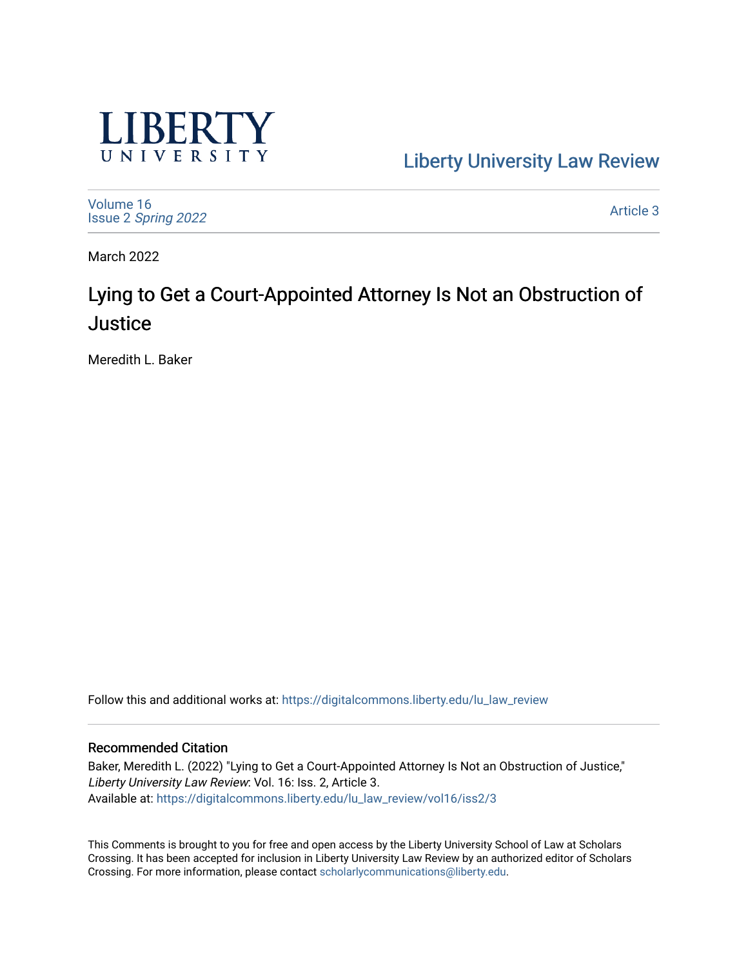

[Liberty University Law Review](https://digitalcommons.liberty.edu/lu_law_review) 

[Volume 16](https://digitalcommons.liberty.edu/lu_law_review/vol16) Issue 2 [Spring 2022](https://digitalcommons.liberty.edu/lu_law_review/vol16/iss2) 

[Article 3](https://digitalcommons.liberty.edu/lu_law_review/vol16/iss2/3) 

March 2022

# Lying to Get a Court-Appointed Attorney Is Not an Obstruction of **Justice**

Meredith L. Baker

Follow this and additional works at: [https://digitalcommons.liberty.edu/lu\\_law\\_review](https://digitalcommons.liberty.edu/lu_law_review?utm_source=digitalcommons.liberty.edu%2Flu_law_review%2Fvol16%2Fiss2%2F3&utm_medium=PDF&utm_campaign=PDFCoverPages) 

# Recommended Citation

Baker, Meredith L. (2022) "Lying to Get a Court-Appointed Attorney Is Not an Obstruction of Justice," Liberty University Law Review: Vol. 16: Iss. 2, Article 3. Available at: [https://digitalcommons.liberty.edu/lu\\_law\\_review/vol16/iss2/3](https://digitalcommons.liberty.edu/lu_law_review/vol16/iss2/3?utm_source=digitalcommons.liberty.edu%2Flu_law_review%2Fvol16%2Fiss2%2F3&utm_medium=PDF&utm_campaign=PDFCoverPages) 

This Comments is brought to you for free and open access by the Liberty University School of Law at Scholars Crossing. It has been accepted for inclusion in Liberty University Law Review by an authorized editor of Scholars Crossing. For more information, please contact [scholarlycommunications@liberty.edu](mailto:scholarlycommunications@liberty.edu).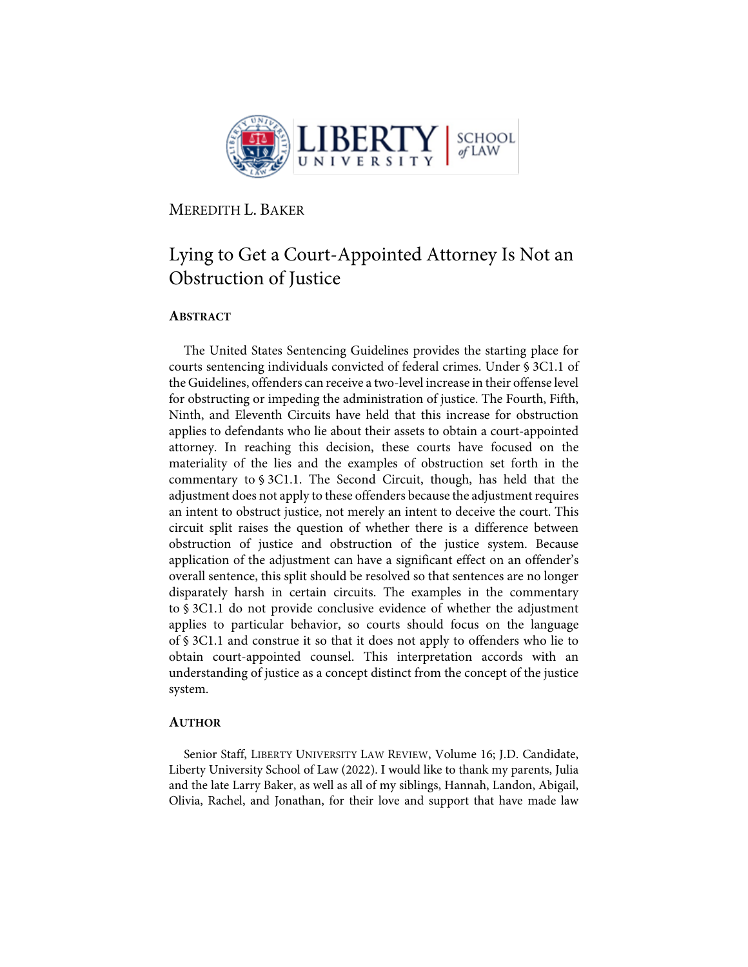

MEREDITH L. BAKER

# Lying to Get a Court-Appointed Attorney Is Not an Obstruction of Justice

# **ABSTRACT**

The United States Sentencing Guidelines provides the starting place for courts sentencing individuals convicted of federal crimes. Under § 3C1.1 of the Guidelines, offenders can receive a two-level increase in their offense level for obstructing or impeding the administration of justice. The Fourth, Fifth, Ninth, and Eleventh Circuits have held that this increase for obstruction applies to defendants who lie about their assets to obtain a court-appointed attorney. In reaching this decision, these courts have focused on the materiality of the lies and the examples of obstruction set forth in the commentary to § 3C1.1. The Second Circuit, though, has held that the adjustment does not apply to these offenders because the adjustment requires an intent to obstruct justice, not merely an intent to deceive the court. This circuit split raises the question of whether there is a difference between obstruction of justice and obstruction of the justice system. Because application of the adjustment can have a significant effect on an offender's overall sentence, this split should be resolved so that sentences are no longer disparately harsh in certain circuits. The examples in the commentary to § 3C1.1 do not provide conclusive evidence of whether the adjustment applies to particular behavior, so courts should focus on the language of § 3C1.1 and construe it so that it does not apply to offenders who lie to obtain court-appointed counsel. This interpretation accords with an understanding of justice as a concept distinct from the concept of the justice system.

#### **AUTHOR**

Senior Staff, LIBERTY UNIVERSITY LAW REVIEW, Volume 16; J.D. Candidate, Liberty University School of Law (2022). I would like to thank my parents, Julia and the late Larry Baker, as well as all of my siblings, Hannah, Landon, Abigail, Olivia, Rachel, and Jonathan, for their love and support that have made law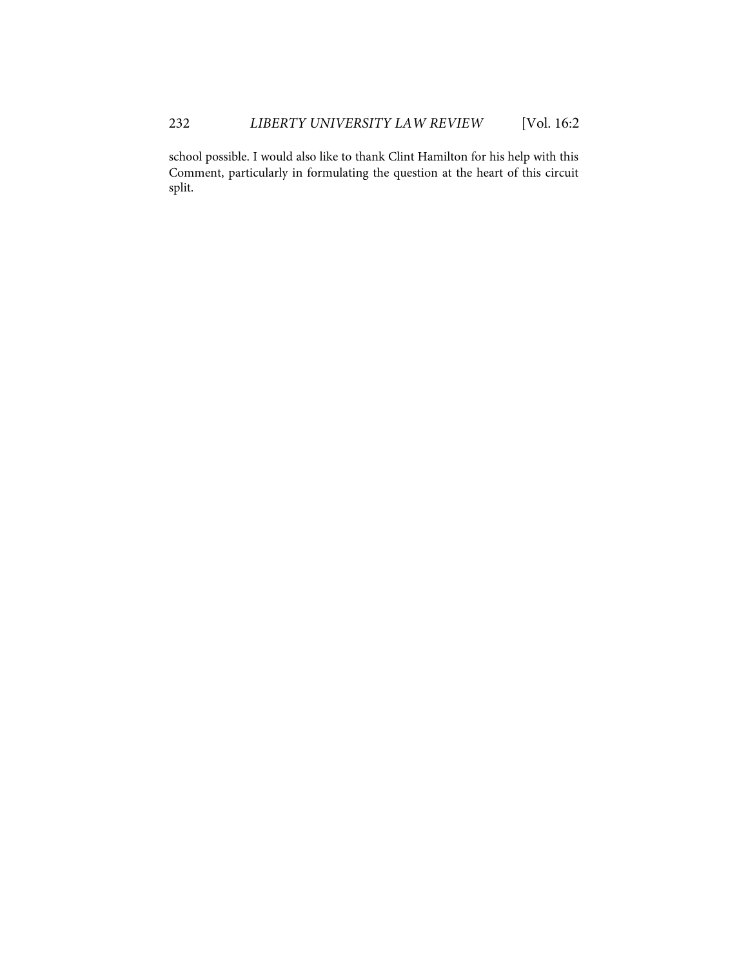school possible. I would also like to thank Clint Hamilton for his help with this Comment, particularly in formulating the question at the heart of this circuit split.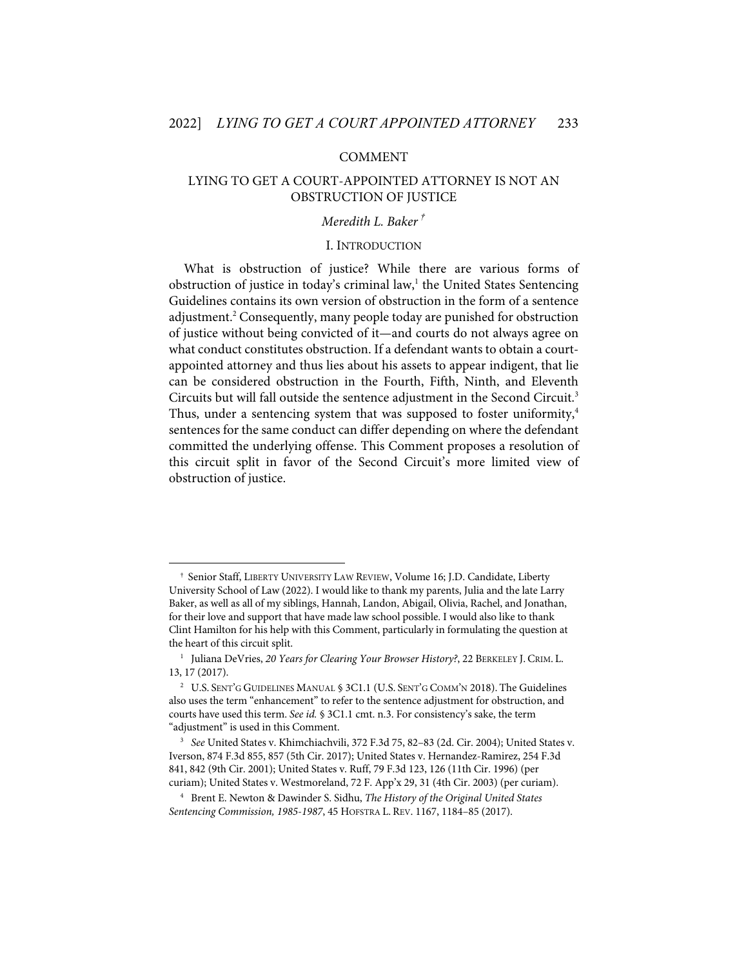#### COMMENT

# LYING TO GET A COURT-APPOINTED ATTORNEY IS NOT AN OBSTRUCTION OF JUSTICE

# *Meredith L. Baker*†

#### I. INTRODUCTION

What is obstruction of justice? While there are various forms of obstruction of justice in today's criminal law, $<sup>1</sup>$  the United States Sentencing</sup> Guidelines contains its own version of obstruction in the form of a sentence adjustment.2 Consequently, many people today are punished for obstruction of justice without being convicted of it—and courts do not always agree on what conduct constitutes obstruction. If a defendant wants to obtain a courtappointed attorney and thus lies about his assets to appear indigent, that lie can be considered obstruction in the Fourth, Fifth, Ninth, and Eleventh Circuits but will fall outside the sentence adjustment in the Second Circuit.<sup>3</sup> Thus, under a sentencing system that was supposed to foster uniformity,<sup>4</sup> sentences for the same conduct can differ depending on where the defendant committed the underlying offense. This Comment proposes a resolution of this circuit split in favor of the Second Circuit's more limited view of obstruction of justice.

<sup>†</sup> Senior Staff, LIBERTY UNIVERSITY LAW REVIEW, Volume 16; J.D. Candidate, Liberty University School of Law (2022). I would like to thank my parents, Julia and the late Larry Baker, as well as all of my siblings, Hannah, Landon, Abigail, Olivia, Rachel, and Jonathan, for their love and support that have made law school possible. I would also like to thank Clint Hamilton for his help with this Comment, particularly in formulating the question at the heart of this circuit split.

<sup>1</sup> Juliana DeVries, *20 Years for Clearing Your Browser History?*, 22 BERKELEY J. CRIM. L. 13, 17 (2017).

<sup>&</sup>lt;sup>2</sup> U.S. SENT'G GUIDELINES MANUAL § 3C1.1 (U.S. SENT'G COMM'N 2018). The Guidelines also uses the term "enhancement" to refer to the sentence adjustment for obstruction, and courts have used this term. *See id.* § 3C1.1 cmt. n.3. For consistency's sake, the term "adjustment" is used in this Comment.

<sup>3</sup> *See* United States v. Khimchiachvili, 372 F.3d 75, 82–83 (2d. Cir. 2004); United States v. Iverson, 874 F.3d 855, 857 (5th Cir. 2017); United States v. Hernandez-Ramirez, 254 F.3d 841, 842 (9th Cir. 2001); United States v. Ruff, 79 F.3d 123, 126 (11th Cir. 1996) (per curiam); United States v. Westmoreland, 72 F. App'x 29, 31 (4th Cir. 2003) (per curiam).

<sup>4</sup> Brent E. Newton & Dawinder S. Sidhu, *The History of the Original United States Sentencing Commission, 1985-1987*, 45 HOFSTRA L. REV. 1167, 1184–85 (2017).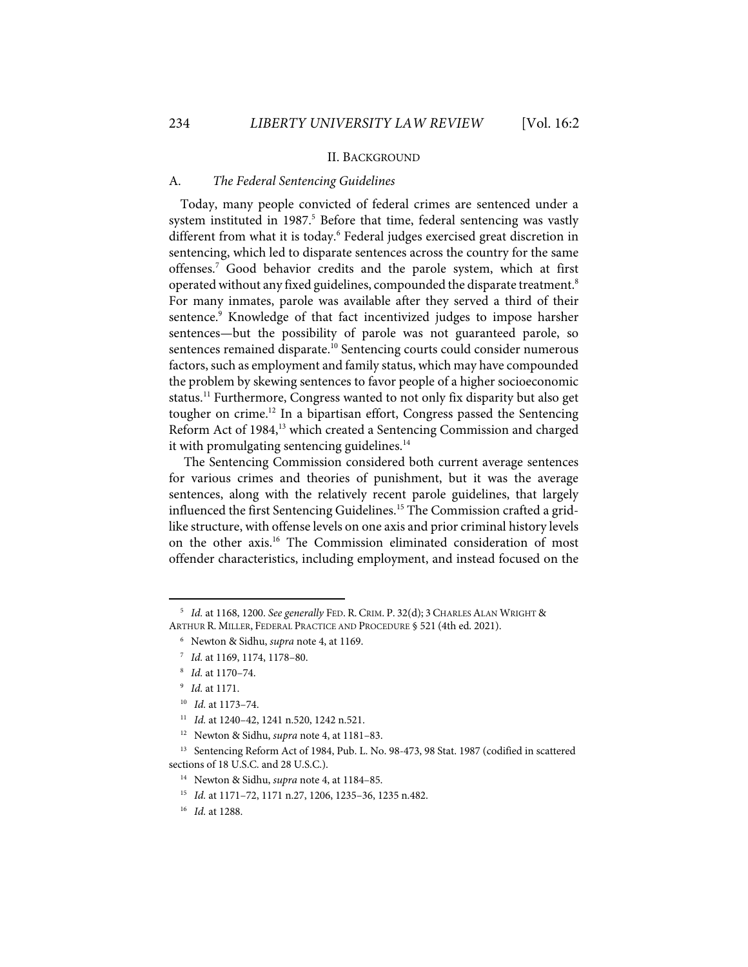#### II. BACKGROUND

#### A. *The Federal Sentencing Guidelines*

Today, many people convicted of federal crimes are sentenced under a system instituted in 1987.<sup>5</sup> Before that time, federal sentencing was vastly different from what it is today.<sup>6</sup> Federal judges exercised great discretion in sentencing, which led to disparate sentences across the country for the same offenses. <sup>7</sup> Good behavior credits and the parole system, which at first operated without any fixed guidelines, compounded the disparate treatment. 8 For many inmates, parole was available after they served a third of their sentence.<sup>9</sup> Knowledge of that fact incentivized judges to impose harsher sentences—but the possibility of parole was not guaranteed parole, so sentences remained disparate.<sup>10</sup> Sentencing courts could consider numerous factors, such as employment and family status, which may have compounded the problem by skewing sentences to favor people of a higher socioeconomic status.<sup>11</sup> Furthermore, Congress wanted to not only fix disparity but also get tougher on crime.<sup>12</sup> In a bipartisan effort, Congress passed the Sentencing Reform Act of 1984,<sup>13</sup> which created a Sentencing Commission and charged it with promulgating sentencing guidelines. $14$ 

The Sentencing Commission considered both current average sentences for various crimes and theories of punishment, but it was the average sentences, along with the relatively recent parole guidelines, that largely influenced the first Sentencing Guidelines.<sup>15</sup> The Commission crafted a gridlike structure, with offense levels on one axis and prior criminal history levels on the other axis.16 The Commission eliminated consideration of most offender characteristics, including employment, and instead focused on the

<sup>5</sup> *Id.* at 1168, 1200. *See generally* FED. R. CRIM. P. 32(d); 3 CHARLES ALAN WRIGHT & ARTHUR R. MILLER, FEDERAL PRACTICE AND PROCEDURE § 521 (4th ed. 2021).

<sup>6</sup> Newton & Sidhu, *supra* note 4, at 1169.

<sup>7</sup> *Id.* at 1169, 1174, 1178–80.

<sup>8</sup> *Id.* at 1170–74.

<sup>9</sup> *Id.* at 1171.

<sup>10</sup> *Id.* at 1173–74.

<sup>11</sup> *Id.* at 1240–42, 1241 n.520, 1242 n.521.

<sup>12</sup>Newton & Sidhu, *supra* note 4, at 1181–83.

<sup>&</sup>lt;sup>13</sup> Sentencing Reform Act of 1984, Pub. L. No. 98-473, 98 Stat. 1987 (codified in scattered sections of 18 U.S.C. and 28 U.S.C.).

<sup>14</sup> Newton & Sidhu, *supra* note 4, at 1184–85.

<sup>15</sup> *Id.* at 1171–72, 1171 n.27, 1206, 1235–36, 1235 n.482.

<sup>16</sup> *Id.* at 1288.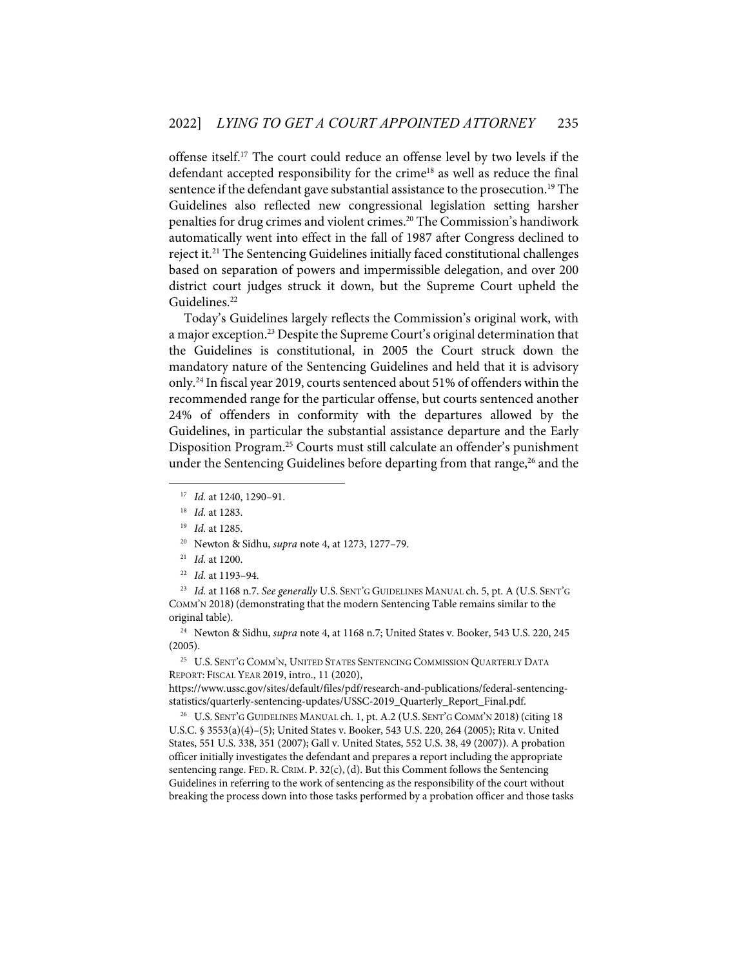offense itself.17 The court could reduce an offense level by two levels if the defendant accepted responsibility for the crime<sup>18</sup> as well as reduce the final sentence if the defendant gave substantial assistance to the prosecution.<sup>19</sup> The Guidelines also reflected new congressional legislation setting harsher penalties for drug crimes and violent crimes.<sup>20</sup> The Commission's handiwork automatically went into effect in the fall of 1987 after Congress declined to reject it.<sup>21</sup> The Sentencing Guidelines initially faced constitutional challenges based on separation of powers and impermissible delegation, and over 200 district court judges struck it down, but the Supreme Court upheld the Guidelines.<sup>22</sup>

Today's Guidelines largely reflects the Commission's original work, with a major exception.<sup>23</sup> Despite the Supreme Court's original determination that the Guidelines is constitutional, in 2005 the Court struck down the mandatory nature of the Sentencing Guidelines and held that it is advisory only.24 In fiscal year 2019, courts sentenced about 51% of offenders within the recommended range for the particular offense, but courts sentenced another 24% of offenders in conformity with the departures allowed by the Guidelines, in particular the substantial assistance departure and the Early Disposition Program.<sup>25</sup> Courts must still calculate an offender's punishment under the Sentencing Guidelines before departing from that range,<sup>26</sup> and the

20 Newton & Sidhu, *supra* note 4, at 1273, 1277–79.

23 *Id.* at 1168 n.7. *See generally* U.S. SENT'G GUIDELINES MANUAL ch. 5, pt. A (U.S. SENT'G COMM'N 2018) (demonstrating that the modern Sentencing Table remains similar to the original table).

24 Newton & Sidhu, *supra* note 4, at 1168 n.7; United States v. Booker, 543 U.S. 220, 245 (2005).

<sup>25</sup> U.S. SENT'G COMM'N, UNITED STATES SENTENCING COMMISSION QUARTERLY DATA REPORT: FISCAL YEAR 2019, intro., 11 (2020),

https://www.ussc.gov/sites/default/files/pdf/research-and-publications/federal-sentencingstatistics/quarterly-sentencing-updates/USSC-2019\_Quarterly\_Report\_Final.pdf.

<sup>26</sup> U.S. SENT'G GUIDELINES MANUAL ch. 1, pt. A.2 (U.S. SENT'G COMM'N 2018) (citing 18 U.S.C. § 3553(a)(4)–(5); United States v. Booker, 543 U.S. 220, 264 (2005); Rita v. United States, 551 U.S. 338, 351 (2007); Gall v. United States, 552 U.S. 38, 49 (2007)). A probation officer initially investigates the defendant and prepares a report including the appropriate sentencing range. FED. R. CRIM. P.  $32(c)$ , (d). But this Comment follows the Sentencing Guidelines in referring to the work of sentencing as the responsibility of the court without breaking the process down into those tasks performed by a probation officer and those tasks

<sup>17</sup> *Id.* at 1240, 1290–91.

<sup>18</sup> *Id.* at 1283.

<sup>19</sup> *Id.* at 1285.

<sup>21</sup> *Id.* at 1200.

<sup>22</sup> *Id.* at 1193–94.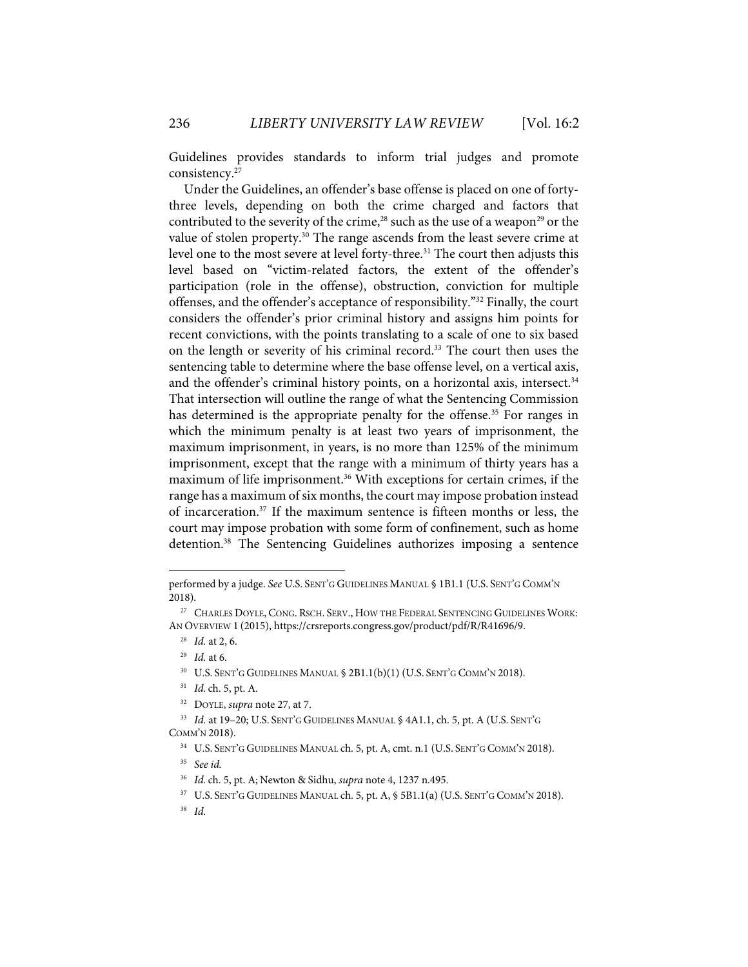Guidelines provides standards to inform trial judges and promote consistency.27

Under the Guidelines, an offender's base offense is placed on one of fortythree levels, depending on both the crime charged and factors that contributed to the severity of the crime,<sup>28</sup> such as the use of a weapon<sup>29</sup> or the value of stolen property.<sup>30</sup> The range ascends from the least severe crime at level one to the most severe at level forty-three.<sup>31</sup> The court then adjusts this level based on "victim-related factors, the extent of the offender's participation (role in the offense), obstruction, conviction for multiple offenses, and the offender's acceptance of responsibility."32 Finally, the court considers the offender's prior criminal history and assigns him points for recent convictions, with the points translating to a scale of one to six based on the length or severity of his criminal record.<sup>33</sup> The court then uses the sentencing table to determine where the base offense level, on a vertical axis, and the offender's criminal history points, on a horizontal axis, intersect.<sup>34</sup> That intersection will outline the range of what the Sentencing Commission has determined is the appropriate penalty for the offense.<sup>35</sup> For ranges in which the minimum penalty is at least two years of imprisonment, the maximum imprisonment, in years, is no more than 125% of the minimum imprisonment, except that the range with a minimum of thirty years has a maximum of life imprisonment.<sup>36</sup> With exceptions for certain crimes, if the range has a maximum of six months, the court may impose probation instead of incarceration. <sup>37</sup> If the maximum sentence is fifteen months or less, the court may impose probation with some form of confinement, such as home detention.<sup>38</sup> The Sentencing Guidelines authorizes imposing a sentence

32 DOYLE, *supra* note 27, at 7.

performed by a judge. *See* U.S. SENT'G GUIDELINES MANUAL § 1B1.1 (U.S. SENT'G COMM'N 2018).

<sup>&</sup>lt;sup>27</sup> CHARLES DOYLE, CONG. RSCH. SERV., HOW THE FEDERAL SENTENCING GUIDELINES WORK: AN OVERVIEW 1 (2015), https://crsreports.congress.gov/product/pdf/R/R41696/9.

<sup>28</sup> *Id.* at 2, 6.

<sup>29</sup> *Id.* at 6.

<sup>&</sup>lt;sup>30</sup> U.S. SENT'G GUIDELINES MANUAL § 2B1.1(b)(1) (U.S. SENT'G COMM'N 2018).

<sup>31</sup> *Id.* ch. 5, pt. A.

<sup>33</sup> *Id.* at 19–20; U.S. SENT'G GUIDELINES MANUAL § 4A1.1, ch. 5, pt. A (U.S. SENT'G COMM'N 2018).

<sup>34</sup> U.S. SENT'G GUIDELINES MANUAL ch. 5, pt. A, cmt. n.1 (U.S. SENT'G COMM'N 2018).

<sup>35</sup> *See id.*

<sup>36</sup> *Id.* ch. 5, pt. A; Newton & Sidhu, *supra* note 4, 1237 n.495.

<sup>37</sup> U.S. SENT'G GUIDELINES MANUAL ch. 5, pt. A, § 5B1.1(a) (U.S. SENT'G COMM'N 2018).

<sup>38</sup> *Id.*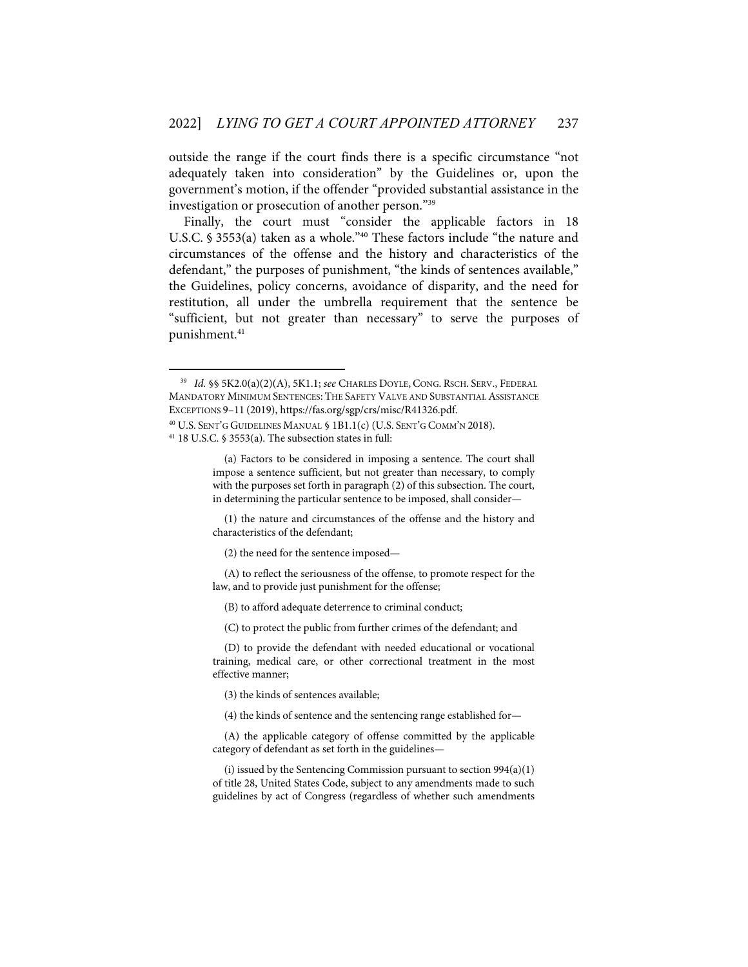outside the range if the court finds there is a specific circumstance "not adequately taken into consideration" by the Guidelines or, upon the government's motion, if the offender "provided substantial assistance in the investigation or prosecution of another person."39

Finally, the court must "consider the applicable factors in 18 U.S.C. § 3553(a) taken as a whole."40 These factors include "the nature and circumstances of the offense and the history and characteristics of the defendant," the purposes of punishment, "the kinds of sentences available," the Guidelines, policy concerns, avoidance of disparity, and the need for restitution, all under the umbrella requirement that the sentence be "sufficient, but not greater than necessary" to serve the purposes of punishment. 41

<sup>41</sup> 18 U.S.C. § 3553(a). The subsection states in full:

(1) the nature and circumstances of the offense and the history and characteristics of the defendant;

(2) the need for the sentence imposed—

(A) to reflect the seriousness of the offense, to promote respect for the law, and to provide just punishment for the offense;

(B) to afford adequate deterrence to criminal conduct;

(C) to protect the public from further crimes of the defendant; and

(D) to provide the defendant with needed educational or vocational training, medical care, or other correctional treatment in the most effective manner;

(3) the kinds of sentences available;

(4) the kinds of sentence and the sentencing range established for—

(A) the applicable category of offense committed by the applicable category of defendant as set forth in the guidelines—

(i) issued by the Sentencing Commission pursuant to section 994(a)(1) of title 28, United States Code, subject to any amendments made to such guidelines by act of Congress (regardless of whether such amendments

<sup>39</sup> *Id.* §§ 5K2.0(a)(2)(A), 5K1.1; *see* CHARLES DOYLE, CONG. RSCH. SERV., FEDERAL MANDATORY MINIMUM SENTENCES: THE SAFETY VALVE AND SUBSTANTIAL ASSISTANCE EXCEPTIONS 9–11 (2019), https://fas.org/sgp/crs/misc/R41326.pdf. <sup>40</sup> U.S. SENT'G GUIDELINES MANUAL § 1B1.1(c) (U.S. SENT'G COMM'N 2018).

<sup>(</sup>a) Factors to be considered in imposing a sentence. The court shall impose a sentence sufficient, but not greater than necessary, to comply with the purposes set forth in paragraph (2) of this subsection. The court, in determining the particular sentence to be imposed, shall consider—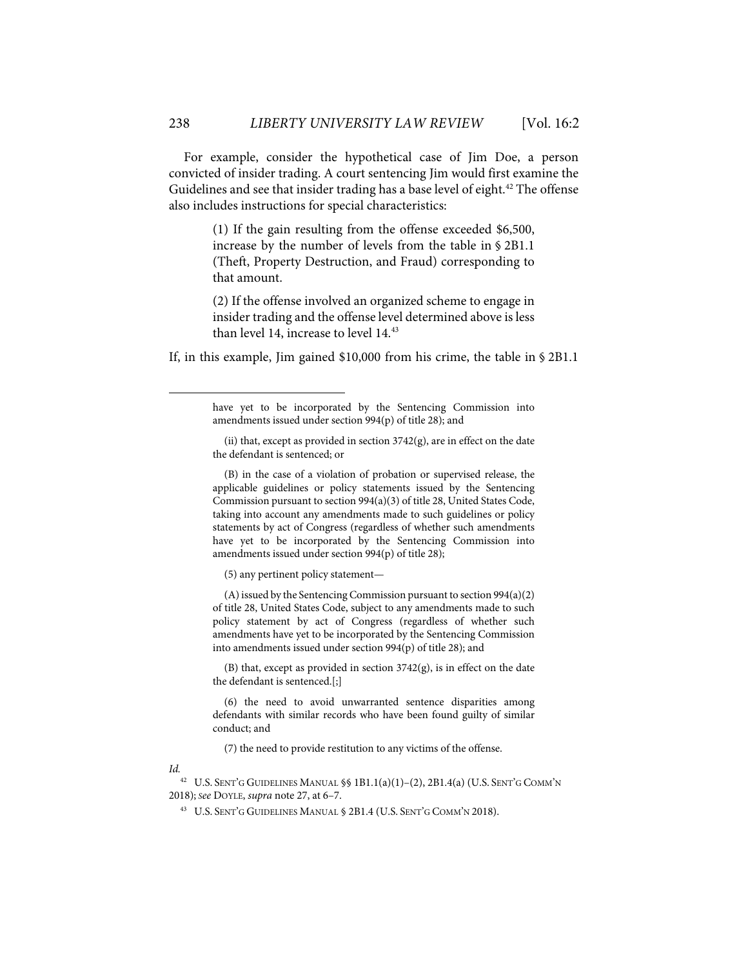For example, consider the hypothetical case of Jim Doe, a person convicted of insider trading. A court sentencing Jim would first examine the Guidelines and see that insider trading has a base level of eight.<sup>42</sup> The offense also includes instructions for special characteristics:

> (1) If the gain resulting from the offense exceeded \$6,500, increase by the number of levels from the table in § 2B1.1 (Theft, Property Destruction, and Fraud) corresponding to that amount.

> (2) If the offense involved an organized scheme to engage in insider trading and the offense level determined above is less than level 14, increase to level 14.<sup>43</sup>

If, in this example, Jim gained \$10,000 from his crime, the table in § 2B1.1

(B) in the case of a violation of probation or supervised release, the applicable guidelines or policy statements issued by the Sentencing Commission pursuant to section 994(a)(3) of title 28, United States Code, taking into account any amendments made to such guidelines or policy statements by act of Congress (regardless of whether such amendments have yet to be incorporated by the Sentencing Commission into amendments issued under section 994(p) of title 28);

(5) any pertinent policy statement—

(A) issued by the Sentencing Commission pursuant to section 994(a)(2) of title 28, United States Code, subject to any amendments made to such policy statement by act of Congress (regardless of whether such amendments have yet to be incorporated by the Sentencing Commission into amendments issued under section 994(p) of title 28); and

(B) that, except as provided in section  $3742(g)$ , is in effect on the date the defendant is sentenced.[;]

(6) the need to avoid unwarranted sentence disparities among defendants with similar records who have been found guilty of similar conduct; and

(7) the need to provide restitution to any victims of the offense.

*Id.*

42 U.S. SENT'G GUIDELINES MANUAL §§ 1B1.1(a)(1)–(2), 2B1.4(a) (U.S. SENT'G COMM'N 2018); *See* DOYLE, *supra* note 27, at 6–7.

43 U.S. SENT'G GUIDELINES MANUAL § 2B1.4 (U.S. SENT'G COMM'N 2018).

have yet to be incorporated by the Sentencing Commission into amendments issued under section 994(p) of title 28); and

<sup>(</sup>ii) that, except as provided in section  $3742(g)$ , are in effect on the date the defendant is sentenced; or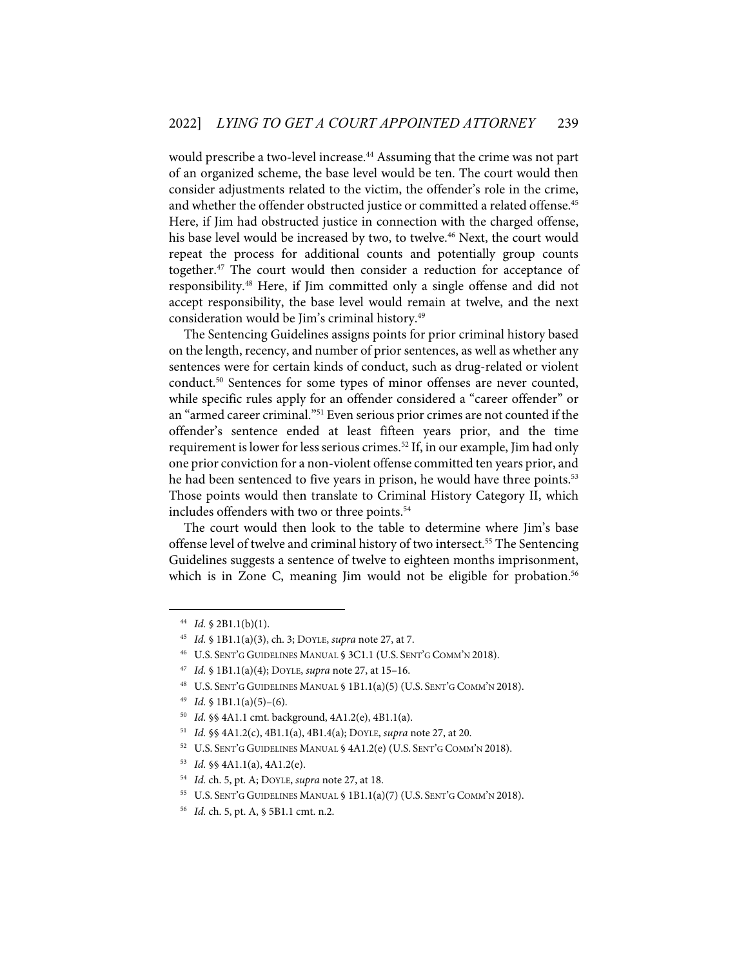would prescribe a two-level increase.<sup>44</sup> Assuming that the crime was not part of an organized scheme, the base level would be ten. The court would then consider adjustments related to the victim, the offender's role in the crime, and whether the offender obstructed justice or committed a related offense.<sup>45</sup> Here, if Jim had obstructed justice in connection with the charged offense, his base level would be increased by two, to twelve.<sup>46</sup> Next, the court would repeat the process for additional counts and potentially group counts together.47 The court would then consider a reduction for acceptance of responsibility.48 Here, if Jim committed only a single offense and did not accept responsibility, the base level would remain at twelve, and the next consideration would be Jim's criminal history.<sup>49</sup>

The Sentencing Guidelines assigns points for prior criminal history based on the length, recency, and number of prior sentences, as well as whether any sentences were for certain kinds of conduct, such as drug-related or violent conduct.<sup>50</sup> Sentences for some types of minor offenses are never counted, while specific rules apply for an offender considered a "career offender" or an "armed career criminal."51 Even serious prior crimes are not counted if the offender's sentence ended at least fifteen years prior, and the time requirement is lower for less serious crimes.<sup>52</sup> If, in our example, Jim had only one prior conviction for a non-violent offense committed ten years prior, and he had been sentenced to five years in prison, he would have three points.<sup>53</sup> Those points would then translate to Criminal History Category II, which includes offenders with two or three points.<sup>54</sup>

The court would then look to the table to determine where Jim's base offense level of twelve and criminal history of two intersect.<sup>55</sup> The Sentencing Guidelines suggests a sentence of twelve to eighteen months imprisonment, which is in Zone C, meaning Jim would not be eligible for probation.<sup>56</sup>

<sup>44</sup> *Id.* § 2B1.1(b)(1).

<sup>45</sup> *Id.* § 1B1.1(a)(3), ch. 3; DOYLE, *supra* note 27, at 7.

<sup>46</sup> U.S. SENT'G GUIDELINES MANUAL § 3C1.1 (U.S. SENT'G COMM'N 2018).

<sup>47</sup> *Id.* § 1B1.1(a)(4); DOYLE, *supra* note 27, at 15–16.

<sup>48</sup> U.S. SENT'G GUIDELINES MANUAL § 1B1.1(a)(5) (U.S. SENT'G COMM'N 2018).

 $^{49}$  *Id.* § 1B1.1(a)(5)–(6).

<sup>50</sup> *Id.* §§ 4A1.1 cmt. background, 4A1.2(e), 4B1.1(a).

<sup>51</sup> *Id.* §§ 4A1.2(c), 4B1.1(a), 4B1.4(a); DOYLE, *supra* note 27, at 20.

<sup>52</sup> U.S. SENT'G GUIDELINES MANUAL § 4A1.2(e) (U.S. SENT'G COMM'N 2018).

<sup>53</sup> *Id.* §§ 4A1.1(a), 4A1.2(e).

<sup>54</sup> *Id.* ch. 5, pt. A; DOYLE, *supra* note 27, at 18.

<sup>55</sup> U.S. SENT'G GUIDELINES MANUAL § 1B1.1(a)(7) (U.S. SENT'G COMM'N 2018).

<sup>56</sup> *Id.* ch. 5, pt. A, § 5B1.1 cmt. n.2.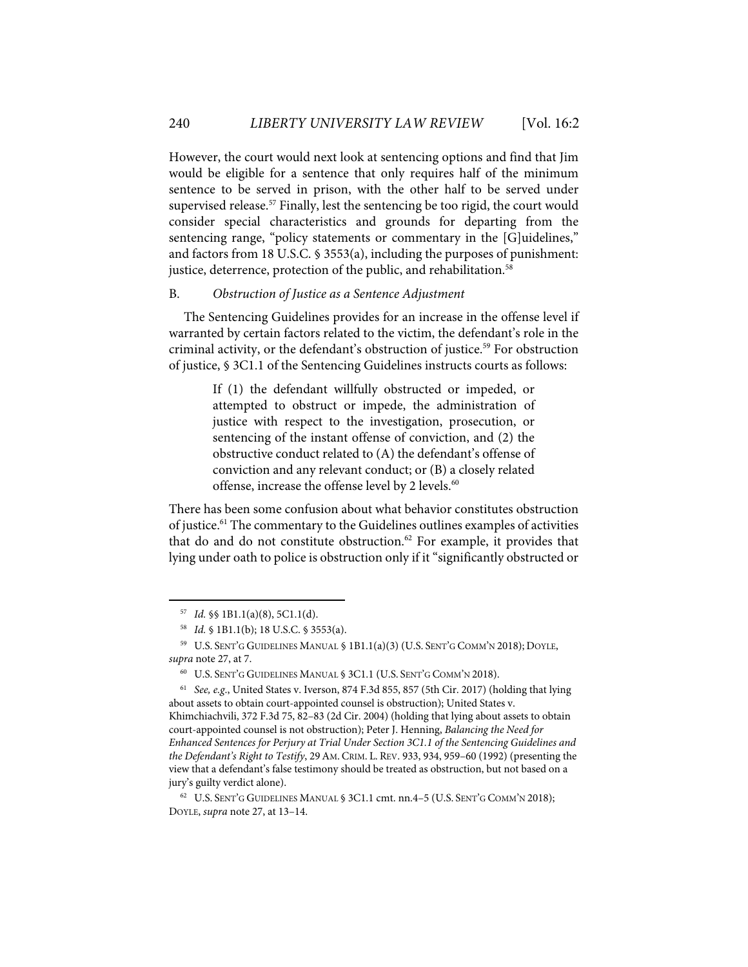However, the court would next look at sentencing options and find that Jim would be eligible for a sentence that only requires half of the minimum sentence to be served in prison, with the other half to be served under supervised release.<sup>57</sup> Finally, lest the sentencing be too rigid, the court would consider special characteristics and grounds for departing from the sentencing range, "policy statements or commentary in the [G]uidelines," and factors from 18 U.S.C. § 3553(a), including the purposes of punishment: justice, deterrence, protection of the public, and rehabilitation.<sup>58</sup>

#### B. *Obstruction of Justice as a Sentence Adjustment*

The Sentencing Guidelines provides for an increase in the offense level if warranted by certain factors related to the victim, the defendant's role in the criminal activity, or the defendant's obstruction of justice.<sup>59</sup> For obstruction of justice, § 3C1.1 of the Sentencing Guidelines instructs courts as follows:

> If (1) the defendant willfully obstructed or impeded, or attempted to obstruct or impede, the administration of justice with respect to the investigation, prosecution, or sentencing of the instant offense of conviction, and (2) the obstructive conduct related to (A) the defendant's offense of conviction and any relevant conduct; or (B) a closely related offense, increase the offense level by 2 levels.<sup>60</sup>

There has been some confusion about what behavior constitutes obstruction of justice.61 The commentary to the Guidelines outlines examples of activities that do and do not constitute obstruction.<sup>62</sup> For example, it provides that lying under oath to police is obstruction only if it "significantly obstructed or

<sup>57</sup> *Id.* §§ 1B1.1(a)(8), 5C1.1(d).

<sup>58</sup> *Id.* § 1B1.1(b); 18 U.S.C. § 3553(a).

<sup>59</sup> U.S. SENT'G GUIDELINES MANUAL § 1B1.1(a)(3) (U.S. SENT'G COMM'N 2018); DOYLE, *supra* note 27, at 7.

<sup>60</sup> U.S. SENT'G GUIDELINES MANUAL § 3C1.1 (U.S. SENT'G COMM'N 2018).

<sup>61</sup> *See, e.g*., United States v. Iverson, 874 F.3d 855, 857 (5th Cir. 2017) (holding that lying about assets to obtain court-appointed counsel is obstruction); United States v. Khimchiachvili, 372 F.3d 75, 82–83 (2d Cir. 2004) (holding that lying about assets to obtain court-appointed counsel is not obstruction); Peter J. Henning, *Balancing the Need for Enhanced Sentences for Perjury at Trial Under Section 3C1.1 of the Sentencing Guidelines and the Defendant's Right to Testify*, 29AM. CRIM. L. REV. 933, 934, 959–60 (1992) (presenting the view that a defendant's false testimony should be treated as obstruction, but not based on a jury's guilty verdict alone).

<sup>62</sup> U.S. SENT'G GUIDELINES MANUAL § 3C1.1 cmt. nn.4–5 (U.S. SENT'G COMM'N 2018); DOYLE, *supra* note 27, at 13–14.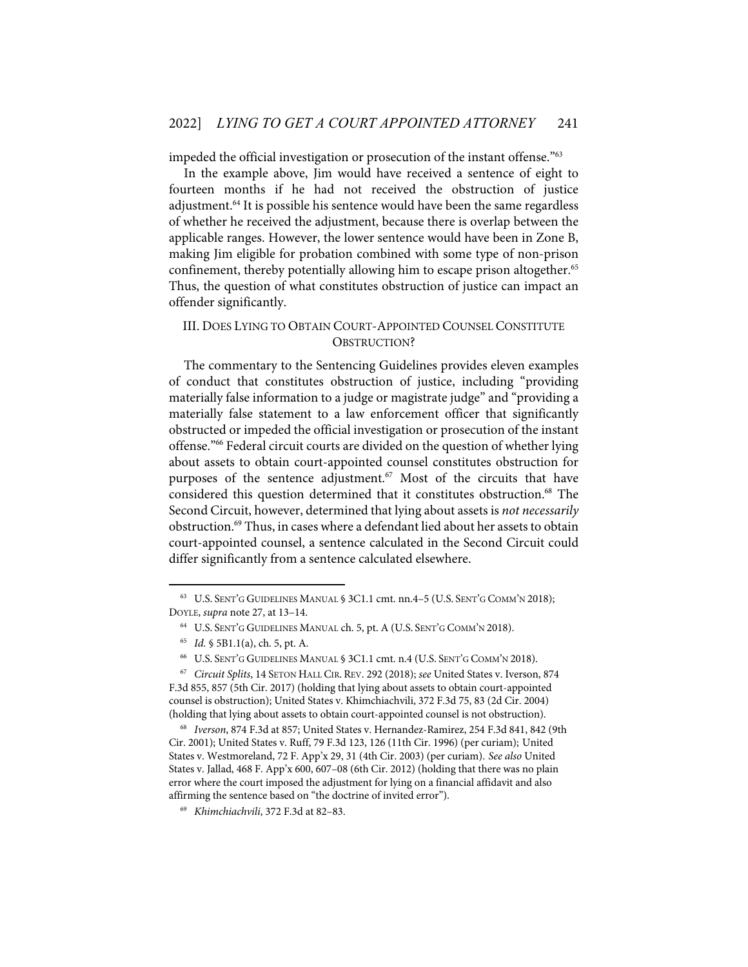impeded the official investigation or prosecution of the instant offense."<sup>63</sup>

In the example above, Jim would have received a sentence of eight to fourteen months if he had not received the obstruction of justice adjustment.64 It is possible his sentence would have been the same regardless of whether he received the adjustment, because there is overlap between the applicable ranges. However, the lower sentence would have been in Zone B, making Jim eligible for probation combined with some type of non-prison confinement, thereby potentially allowing him to escape prison altogether.<sup>65</sup> Thus, the question of what constitutes obstruction of justice can impact an offender significantly.

# III. DOES LYING TO OBTAIN COURT-APPOINTED COUNSEL CONSTITUTE OBSTRUCTION?

The commentary to the Sentencing Guidelines provides eleven examples of conduct that constitutes obstruction of justice, including "providing materially false information to a judge or magistrate judge" and "providing a materially false statement to a law enforcement officer that significantly obstructed or impeded the official investigation or prosecution of the instant offense."66 Federal circuit courts are divided on the question of whether lying about assets to obtain court-appointed counsel constitutes obstruction for purposes of the sentence adjustment.<sup>67</sup> Most of the circuits that have considered this question determined that it constitutes obstruction.<sup>68</sup> The Second Circuit, however, determined that lying about assets is *not necessarily* obstruction.<sup>69</sup> Thus, in cases where a defendant lied about her assets to obtain court-appointed counsel, a sentence calculated in the Second Circuit could differ significantly from a sentence calculated elsewhere.

<sup>63</sup> U.S. SENT'G GUIDELINES MANUAL § 3C1.1 cmt. nn.4–5 (U.S. SENT'G COMM'N 2018); DOYLE, *supra* note 27, at 13–14.

<sup>64</sup> U.S. SENT'G GUIDELINES MANUAL ch. 5, pt. A (U.S. SENT'G COMM'N 2018).

<sup>65</sup> *Id.* § 5B1.1(a), ch. 5, pt. A.

<sup>66</sup> U.S. SENT'G GUIDELINES MANUAL § 3C1.1 cmt. n.4 (U.S. SENT'G COMM'N 2018).

<sup>67</sup> *Circuit Splits*, 14 SETON HALL CIR. REV. 292 (2018); *see* United States v. Iverson, 874 F.3d 855, 857 (5th Cir. 2017) (holding that lying about assets to obtain court-appointed counsel is obstruction); United States v. Khimchiachvili, 372 F.3d 75, 83 (2d Cir. 2004) (holding that lying about assets to obtain court-appointed counsel is not obstruction).

<sup>68</sup> *Iverson*, 874 F.3d at 857; United States v. Hernandez-Ramirez, 254 F.3d 841, 842 (9th Cir. 2001); United States v. Ruff, 79 F.3d 123, 126 (11th Cir. 1996) (per curiam); United States v. Westmoreland, 72 F. App'x 29, 31 (4th Cir. 2003) (per curiam). *See also* United States v. Jallad, 468 F. App'x 600, 607–08 (6th Cir. 2012) (holding that there was no plain error where the court imposed the adjustment for lying on a financial affidavit and also affirming the sentence based on "the doctrine of invited error").

<sup>69</sup> *Khimchiachvili*, 372 F.3d at 82–83.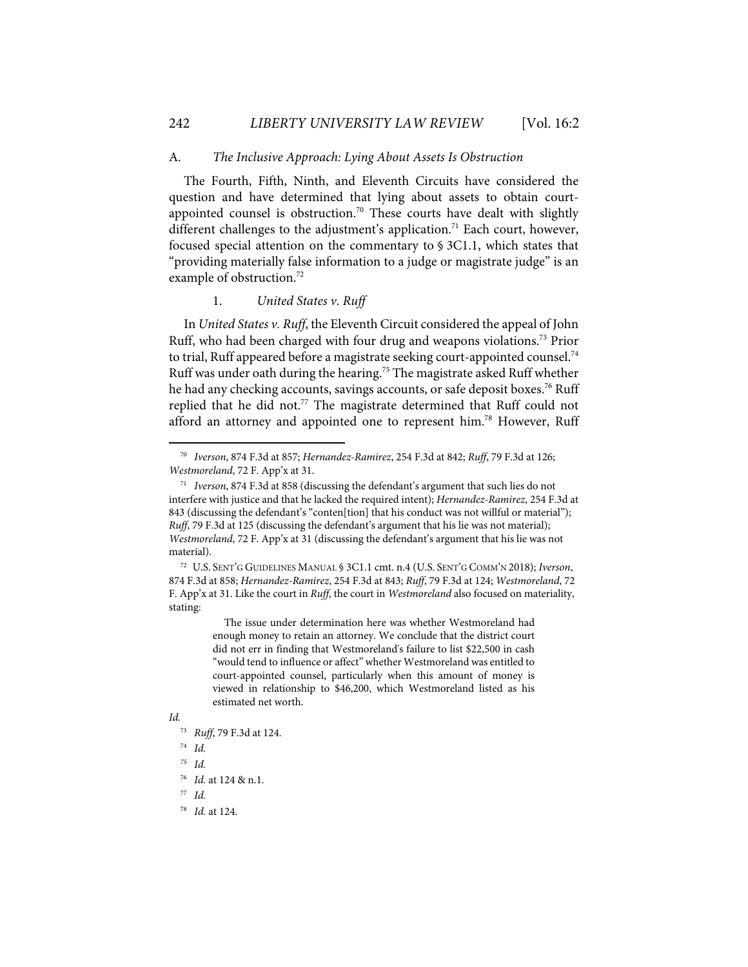#### A. *The Inclusive Approach: Lying About Assets Is Obstruction*

The Fourth, Fifth, Ninth, and Eleventh Circuits have considered the question and have determined that lying about assets to obtain courtappointed counsel is obstruction.<sup>70</sup> These courts have dealt with slightly different challenges to the adjustment's application. <sup>71</sup> Each court, however, focused special attention on the commentary to § 3C1.1, which states that "providing materially false information to a judge or magistrate judge" is an example of obstruction.<sup>72</sup>

#### 1. *United States v. Ruff*

In *United States v. Ruff*, the Eleventh Circuit considered the appeal of John Ruff, who had been charged with four drug and weapons violations.73 Prior to trial, Ruff appeared before a magistrate seeking court-appointed counsel.<sup>74</sup> Ruff was under oath during the hearing.75 The magistrate asked Ruff whether he had any checking accounts, savings accounts, or safe deposit boxes. <sup>76</sup> Ruff replied that he did not.<sup>77</sup> The magistrate determined that Ruff could not afford an attorney and appointed one to represent him.<sup>78</sup> However, Ruff

The issue under determination here was whether Westmoreland had enough money to retain an attorney. We conclude that the district court did not err in finding that Westmoreland's failure to list \$22,500 in cash "would tend to influence or affect" whether Westmoreland was entitled to court-appointed counsel, particularly when this amount of money is viewed in relationship to \$46,200, which Westmoreland listed as his estimated net worth.

#### *Id.*

- 73 *Ruff*, 79 F.3d at 124.
- 74 *Id.*

78 *Id.* at 124.

<sup>70</sup> *Iverson*, 874 F.3d at 857; *Hernandez-Ramirez*, 254 F.3d at 842; *Ruff*, 79 F.3d at 126; *Westmoreland*, 72 F. App'x at 31.

<sup>71</sup> *Iverson*, 874 F.3d at 858 (discussing the defendant's argument that such lies do not interfere with justice and that he lacked the required intent); *Hernandez-Ramirez*, 254 F.3d at 843 (discussing the defendant's "conten[tion] that his conduct was not willful or material"); *Ruff*, 79 F.3d at 125 (discussing the defendant's argument that his lie was not material); *Westmoreland*, 72 F. App'x at 31 (discussing the defendant's argument that his lie was not material).

<sup>72</sup> U.S. SENT'G GUIDELINES MANUAL § 3C1.1 cmt. n.4 (U.S. SENT'G COMM'N 2018); *Iverson*, 874 F.3d at 858; *Hernandez-Ramirez*, 254 F.3d at 843; *Ruff*, 79 F.3d at 124; *Westmoreland*, 72 F. App'x at 31. Like the court in *Ruff*, the court in *Westmoreland* also focused on materiality, stating:

*<sup>75</sup> Id.* 

<sup>76</sup> *Id.* at 124 & n.1.

<sup>77</sup> *Id.*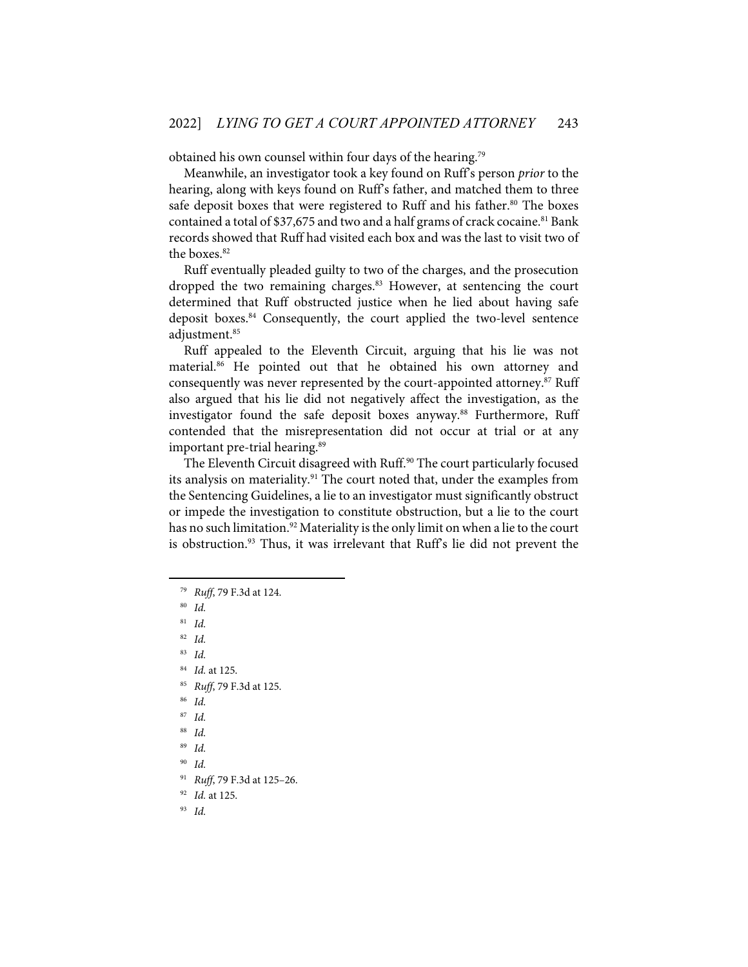obtained his own counsel within four days of the hearing.79

Meanwhile, an investigator took a key found on Ruff's person *prior* to the hearing, along with keys found on Ruff's father, and matched them to three safe deposit boxes that were registered to Ruff and his father.<sup>80</sup> The boxes contained a total of \$37,675 and two and a half grams of crack cocaine.<sup>81</sup> Bank records showed that Ruff had visited each box and was the last to visit two of the boxes.<sup>82</sup>

Ruff eventually pleaded guilty to two of the charges, and the prosecution dropped the two remaining charges. <sup>83</sup> However, at sentencing the court determined that Ruff obstructed justice when he lied about having safe deposit boxes.84 Consequently, the court applied the two-level sentence adjustment.85

Ruff appealed to the Eleventh Circuit, arguing that his lie was not material.86 He pointed out that he obtained his own attorney and consequently was never represented by the court-appointed attorney.<sup>87</sup> Ruff also argued that his lie did not negatively affect the investigation, as the investigator found the safe deposit boxes anyway.<sup>88</sup> Furthermore, Ruff contended that the misrepresentation did not occur at trial or at any important pre-trial hearing.<sup>89</sup>

The Eleventh Circuit disagreed with Ruff.<sup>90</sup> The court particularly focused its analysis on materiality.<sup>91</sup> The court noted that, under the examples from the Sentencing Guidelines, a lie to an investigator must significantly obstruct or impede the investigation to constitute obstruction, but a lie to the court has no such limitation. <sup>92</sup> Materiality is the only limit on when a lie to the court is obstruction. <sup>93</sup> Thus, it was irrelevant that Ruff's lie did not prevent the

80 *Id.* 81 *Id.*

82 *Id.*

83 *Id.*

84 *Id.* at 125.

- 85 *Ruff*, 79 F.3d at 125.
- 86 *Id.*

87 *Id.* 

88 *Id.* 

89 *Id.* 

90 *Id.*

91 *Ruff*, 79 F.3d at 125–26.

92 *Id.* at 125.

93 *Id.*

<sup>79</sup> *Ruff*, 79 F.3d at 124.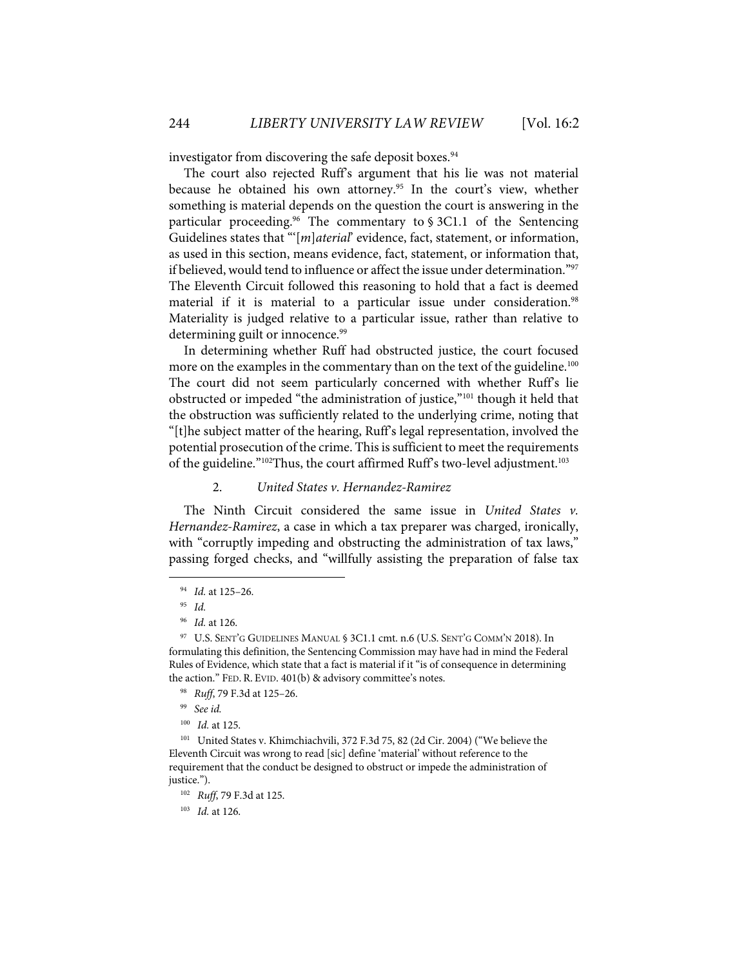investigator from discovering the safe deposit boxes.<sup>94</sup>

The court also rejected Ruff's argument that his lie was not material because he obtained his own attorney.<sup>95</sup> In the court's view, whether something is material depends on the question the court is answering in the particular proceeding.<sup>96</sup> The commentary to  $\S 3C1.1$  of the Sentencing Guidelines states that "'[*m*]*aterial*' evidence, fact, statement, or information, as used in this section, means evidence, fact, statement, or information that, if believed, would tend to influence or affect the issue under determination."97 The Eleventh Circuit followed this reasoning to hold that a fact is deemed material if it is material to a particular issue under consideration. 98 Materiality is judged relative to a particular issue, rather than relative to determining guilt or innocence.<sup>99</sup>

In determining whether Ruff had obstructed justice, the court focused more on the examples in the commentary than on the text of the guideline.<sup>100</sup> The court did not seem particularly concerned with whether Ruff's lie obstructed or impeded "the administration of justice,"101 though it held that the obstruction was sufficiently related to the underlying crime, noting that "[t]he subject matter of the hearing, Ruff's legal representation, involved the potential prosecution of the crime. This is sufficient to meet the requirements of the guideline."<sup>102</sup>Thus, the court affirmed Ruff's two-level adjustment.<sup>103</sup>

#### 2. *United States v. Hernandez-Ramirez*

The Ninth Circuit considered the same issue in *United States v. Hernandez-Ramirez*, a case in which a tax preparer was charged, ironically, with "corruptly impeding and obstructing the administration of tax laws," passing forged checks, and "willfully assisting the preparation of false tax

99 *See id.* 

101 United States v. Khimchiachvili, 372 F.3d 75, 82 (2d Cir. 2004) ("We believe the Eleventh Circuit was wrong to read [sic] define 'material' without reference to the requirement that the conduct be designed to obstruct or impede the administration of justice.").

<sup>94</sup> *Id.* at 125–26.

<sup>95</sup> *Id.* 

<sup>96</sup> *Id.* at 126.

<sup>97</sup> U.S. SENT'G GUIDELINES MANUAL § 3C1.1 cmt. n.6 (U.S. SENT'G COMM'N 2018). In formulating this definition, the Sentencing Commission may have had in mind the Federal Rules of Evidence, which state that a fact is material if it "is of consequence in determining the action." FED. R. EVID. 401(b) & advisory committee's notes.

<sup>98</sup> *Ruff*, 79 F.3d at 125–26.

<sup>100</sup> *Id.* at 125.

<sup>102</sup> *Ruff*, 79 F.3d at 125.

<sup>103</sup> *Id.* at 126.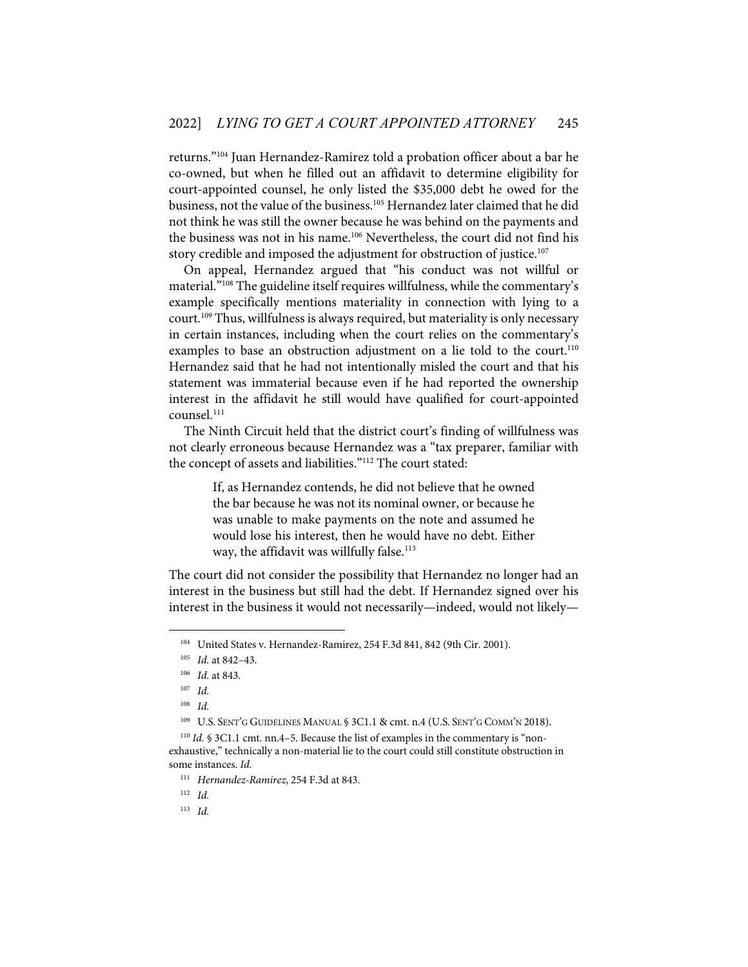returns."104 Juan Hernandez-Ramirez told a probation officer about a bar he co-owned, but when he filled out an affidavit to determine eligibility for court-appointed counsel, he only listed the \$35,000 debt he owed for the business, not the value of the business.105 Hernandez later claimed that he did not think he was still the owner because he was behind on the payments and the business was not in his name.<sup>106</sup> Nevertheless, the court did not find his story credible and imposed the adjustment for obstruction of justice.<sup>107</sup>

On appeal, Hernandez argued that "his conduct was not willful or material."108 The guideline itself requires willfulness, while the commentary's example specifically mentions materiality in connection with lying to a court. <sup>109</sup> Thus, willfulness is always required, but materiality is only necessary in certain instances, including when the court relies on the commentary's examples to base an obstruction adjustment on a lie told to the court.<sup>110</sup> Hernandez said that he had not intentionally misled the court and that his statement was immaterial because even if he had reported the ownership interest in the affidavit he still would have qualified for court-appointed counsel.<sup>111</sup>

The Ninth Circuit held that the district court's finding of willfulness was not clearly erroneous because Hernandez was a "tax preparer, familiar with the concept of assets and liabilities."112 The court stated:

> If, as Hernandez contends, he did not believe that he owned the bar because he was not its nominal owner, or because he was unable to make payments on the note and assumed he would lose his interest, then he would have no debt. Either way, the affidavit was willfully false.<sup>113</sup>

The court did not consider the possibility that Hernandez no longer had an interest in the business but still had the debt. If Hernandez signed over his interest in the business it would not necessarily—indeed, would not likely—

<sup>109</sup> U.S. SENT'G GUIDELINES MANUAL § 3C1.1 & cmt. n.4 (U.S. SENT'G COMM'N 2018).

<sup>104</sup> United States v. Hernandez-Ramirez, 254 F.3d 841, 842 (9th Cir. 2001).

<sup>105</sup> *Id.* at 842–43.

<sup>106</sup> *Id.* at 843.

 $107$  *Id.* 

<sup>108</sup> *Id.* 

<sup>&</sup>lt;sup>110</sup> *Id.* § 3C1.1 cmt. nn.4–5. Because the list of examples in the commentary is "nonexhaustive," technically a non-material lie to the court could still constitute obstruction in some instances. *Id.* 

<sup>111</sup> *Hernandez-Ramirez*, 254 F.3d at 843.

<sup>112</sup> *Id.* 

<sup>113</sup> *Id.*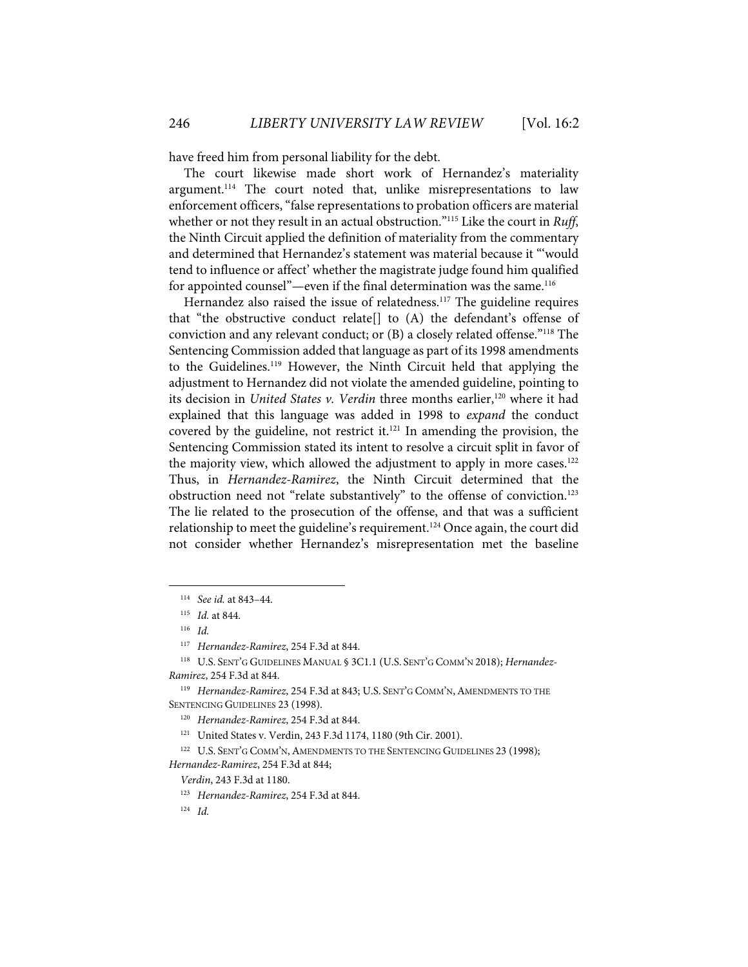have freed him from personal liability for the debt.

The court likewise made short work of Hernandez's materiality argument.<sup>114</sup> The court noted that, unlike misrepresentations to law enforcement officers, "false representations to probation officers are material whether or not they result in an actual obstruction."115 Like the court in *Ruff*, the Ninth Circuit applied the definition of materiality from the commentary and determined that Hernandez's statement was material because it "'would tend to influence or affect' whether the magistrate judge found him qualified for appointed counsel"—even if the final determination was the same.<sup>116</sup>

Hernandez also raised the issue of relatedness.<sup>117</sup> The guideline requires that "the obstructive conduct relate[] to (A) the defendant's offense of conviction and any relevant conduct; or (B) a closely related offense."118 The Sentencing Commission added that language as part of its 1998 amendments to the Guidelines.<sup>119</sup> However, the Ninth Circuit held that applying the adjustment to Hernandez did not violate the amended guideline, pointing to its decision in *United States v. Verdin* three months earlier,<sup>120</sup> where it had explained that this language was added in 1998 to *expand* the conduct covered by the guideline, not restrict it. $121$  In amending the provision, the Sentencing Commission stated its intent to resolve a circuit split in favor of the majority view, which allowed the adjustment to apply in more cases.<sup>122</sup> Thus, in *Hernandez-Ramirez*, the Ninth Circuit determined that the obstruction need not "relate substantively" to the offense of conviction.<sup>123</sup> The lie related to the prosecution of the offense, and that was a sufficient relationship to meet the guideline's requirement.<sup>124</sup> Once again, the court did not consider whether Hernandez's misrepresentation met the baseline

<sup>114</sup> *See id.* at 843–44.

<sup>115</sup> *Id.* at 844.

<sup>116</sup> *Id.*

<sup>117</sup> *Hernandez-Ramirez*, 254 F.3d at 844.

<sup>118</sup> U.S. SENT'G GUIDELINES MANUAL § 3C1.1 (U.S. SENT'G COMM'N 2018); *Hernandez-Ramirez*, 254 F.3d at 844.

<sup>&</sup>lt;sup>119</sup> *Hernandez-Ramirez*, 254 F.3d at 843; U.S. SENT'G COMM'N, AMENDMENTS TO THE SENTENCING GUIDELINES 23 (1998).

<sup>120</sup> *Hernandez-Ramirez*, 254 F.3d at 844.

<sup>121</sup> United States v. Verdin, 243 F.3d 1174, 1180 (9th Cir. 2001).

<sup>&</sup>lt;sup>122</sup> U.S. SENT'G COMM'N, AMENDMENTS TO THE SENTENCING GUIDELINES 23 (1998); *Hernandez-Ramirez*, 254 F.3d at 844;

*Verdin*, 243 F.3d at 1180.

<sup>123</sup> *Hernandez-Ramirez*, 254 F.3d at 844.

 $124$  *Id.*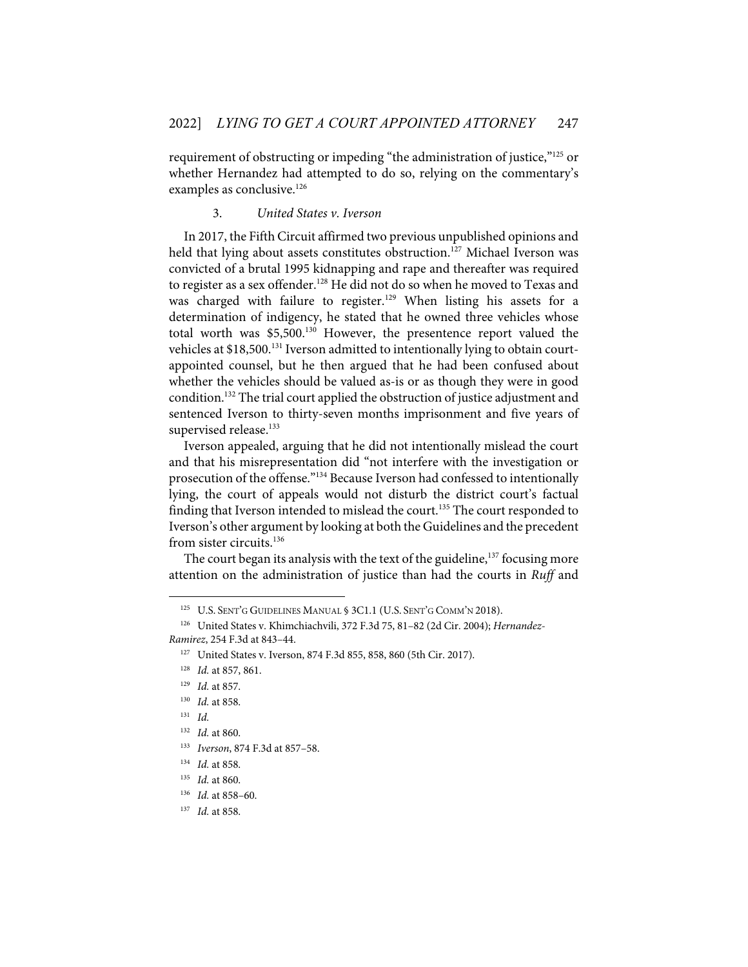requirement of obstructing or impeding "the administration of justice,"125 or whether Hernandez had attempted to do so, relying on the commentary's examples as conclusive.<sup>126</sup>

#### 3. *United States v. Iverson*

In 2017, the Fifth Circuit affirmed two previous unpublished opinions and held that lying about assets constitutes obstruction.<sup>127</sup> Michael Iverson was convicted of a brutal 1995 kidnapping and rape and thereafter was required to register as a sex offender.<sup>128</sup> He did not do so when he moved to Texas and was charged with failure to register.<sup>129</sup> When listing his assets for a determination of indigency, he stated that he owned three vehicles whose total worth was \$5,500.<sup>130</sup> However, the presentence report valued the vehicles at \$18,500.<sup>131</sup> Iverson admitted to intentionally lying to obtain courtappointed counsel, but he then argued that he had been confused about whether the vehicles should be valued as-is or as though they were in good condition.132 The trial court applied the obstruction of justice adjustment and sentenced Iverson to thirty-seven months imprisonment and five years of supervised release.<sup>133</sup>

Iverson appealed, arguing that he did not intentionally mislead the court and that his misrepresentation did "not interfere with the investigation or prosecution of the offense."134 Because Iverson had confessed to intentionally lying, the court of appeals would not disturb the district court's factual finding that Iverson intended to mislead the court.<sup>135</sup> The court responded to Iverson's other argument by looking at both the Guidelines and the precedent from sister circuits.<sup>136</sup>

The court began its analysis with the text of the guideline,<sup>137</sup> focusing more attention on the administration of justice than had the courts in *Ruff* and

<sup>125</sup> U.S. SENT'G GUIDELINES MANUAL § 3C1.1 (U.S. SENT'G COMM'N 2018).

<sup>126</sup> United States v. Khimchiachvili, 372 F.3d 75, 81–82 (2d Cir. 2004); *Hernandez-Ramirez*, 254 F.3d at 843–44.

<sup>127</sup> United States v. Iverson, 874 F.3d 855, 858, 860 (5th Cir. 2017).

<sup>128</sup> *Id.* at 857, 861.

<sup>129</sup> *Id.* at 857.

<sup>130</sup> *Id.* at 858.

<sup>131</sup> *Id.* 

<sup>132</sup> *Id.* at 860.

<sup>133</sup> *Iverson*, 874 F.3d at 857–58.

<sup>134</sup> *Id.* at 858.

<sup>135</sup> *Id.* at 860.

<sup>136</sup> *Id.* at 858–60.

<sup>137</sup> *Id.* at 858.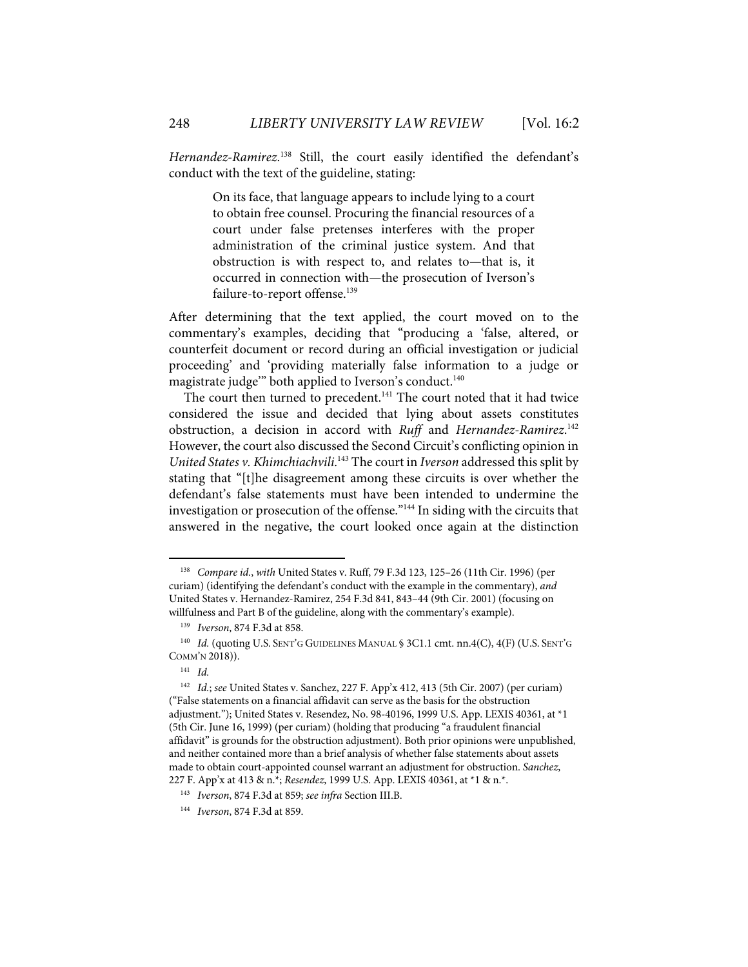Hernandez-Ramirez.<sup>138</sup> Still, the court easily identified the defendant's conduct with the text of the guideline, stating:

> On its face, that language appears to include lying to a court to obtain free counsel. Procuring the financial resources of a court under false pretenses interferes with the proper administration of the criminal justice system. And that obstruction is with respect to, and relates to—that is, it occurred in connection with—the prosecution of Iverson's failure-to-report offense.<sup>139</sup>

After determining that the text applied, the court moved on to the commentary's examples, deciding that "producing a 'false, altered, or counterfeit document or record during an official investigation or judicial proceeding' and 'providing materially false information to a judge or magistrate judge" both applied to Iverson's conduct.<sup>140</sup>

The court then turned to precedent.<sup>141</sup> The court noted that it had twice considered the issue and decided that lying about assets constitutes obstruction, a decision in accord with *Ruff* and *Hernandez-Ramirez*. 142 However, the court also discussed the Second Circuit's conflicting opinion in *United States v. Khimchiachvili*. <sup>143</sup> The court in *Iverson* addressed this split by stating that "[t]he disagreement among these circuits is over whether the defendant's false statements must have been intended to undermine the investigation or prosecution of the offense."144 In siding with the circuits that answered in the negative, the court looked once again at the distinction

<sup>138</sup> *Compare id.*, *with* United States v. Ruff, 79 F.3d 123, 125–26 (11th Cir. 1996) (per curiam) (identifying the defendant's conduct with the example in the commentary), *and* United States v. Hernandez-Ramirez, 254 F.3d 841, 843–44 (9th Cir. 2001) (focusing on willfulness and Part B of the guideline, along with the commentary's example).

<sup>139</sup> *Iverson*, 874 F.3d at 858.

<sup>&</sup>lt;sup>140</sup> *Id.* (quoting U.S. SENT'G GUIDELINES MANUAL § 3C1.1 cmt. nn.4(C), 4(F) (U.S. SENT'G COMM'N 2018)).

 $141$  *Id.* 

<sup>142</sup> *Id.*; *see* United States v. Sanchez, 227 F. App'x 412, 413 (5th Cir. 2007) (per curiam) ("False statements on a financial affidavit can serve as the basis for the obstruction adjustment."); United States v. Resendez, No. 98-40196, 1999 U.S. App. LEXIS 40361, at \*1 (5th Cir. June 16, 1999) (per curiam) (holding that producing "a fraudulent financial affidavit" is grounds for the obstruction adjustment). Both prior opinions were unpublished, and neither contained more than a brief analysis of whether false statements about assets made to obtain court-appointed counsel warrant an adjustment for obstruction. *Sanchez*, 227 F. App'x at 413 & n.\*; *Resendez*, 1999 U.S. App. LEXIS 40361, at \*1 & n.\*.

<sup>143</sup> *Iverson*, 874 F.3d at 859; *see infra* Section III.B.

<sup>144</sup> *Iverson*, 874 F.3d at 859.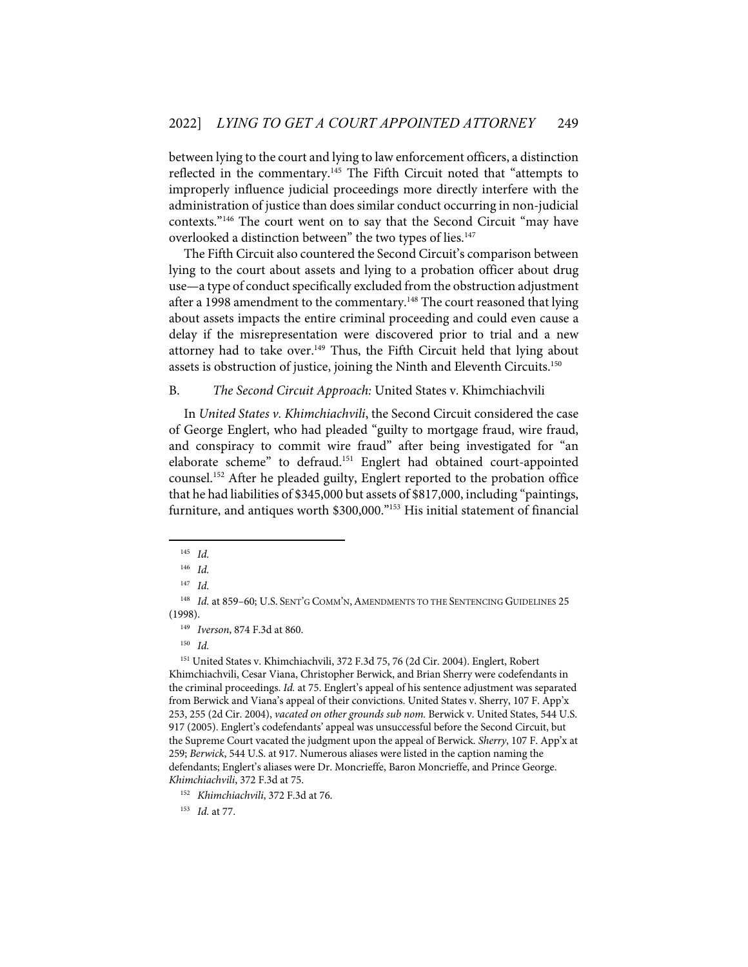between lying to the court and lying to law enforcement officers, a distinction reflected in the commentary.145 The Fifth Circuit noted that "attempts to improperly influence judicial proceedings more directly interfere with the administration of justice than does similar conduct occurring in non-judicial contexts."146 The court went on to say that the Second Circuit "may have overlooked a distinction between" the two types of lies.<sup>147</sup>

The Fifth Circuit also countered the Second Circuit's comparison between lying to the court about assets and lying to a probation officer about drug use—a type of conduct specifically excluded from the obstruction adjustment after a 1998 amendment to the commentary.<sup>148</sup> The court reasoned that lying about assets impacts the entire criminal proceeding and could even cause a delay if the misrepresentation were discovered prior to trial and a new attorney had to take over.<sup>149</sup> Thus, the Fifth Circuit held that lying about assets is obstruction of justice, joining the Ninth and Eleventh Circuits.<sup>150</sup>

#### B. *The Second Circuit Approach:* United States v. Khimchiachvili

In *United States v. Khimchiachvili*, the Second Circuit considered the case of George Englert, who had pleaded "guilty to mortgage fraud, wire fraud, and conspiracy to commit wire fraud" after being investigated for "an elaborate scheme" to defraud.151 Englert had obtained court-appointed counsel.152 After he pleaded guilty, Englert reported to the probation office that he had liabilities of \$345,000 but assets of \$817,000, including "paintings, furniture, and antiques worth \$300,000."153 His initial statement of financial

149 *Iverson*, 874 F.3d at 860.

150 *Id.* 

<sup>145</sup> *Id.* 

<sup>146</sup> *Id.* 

<sup>147</sup> *Id.* 

<sup>&</sup>lt;sup>148</sup> *Id.* at 859–60; U.S. SENT'G COMM'N, AMENDMENTS TO THE SENTENCING GUIDELINES 25 (1998).

<sup>151</sup> United States v. Khimchiachvili, 372 F.3d 75, 76 (2d Cir. 2004). Englert, Robert Khimchiachvili, Cesar Viana, Christopher Berwick, and Brian Sherry were codefendants in the criminal proceedings. *Id.* at 75. Englert's appeal of his sentence adjustment was separated from Berwick and Viana's appeal of their convictions. United States v. Sherry, 107 F. App'x 253, 255 (2d Cir. 2004), *vacated on other grounds sub nom.* Berwick v. United States, 544 U.S. 917 (2005). Englert's codefendants' appeal was unsuccessful before the Second Circuit, but the Supreme Court vacated the judgment upon the appeal of Berwick. *Sherry*, 107 F. App'x at 259; *Berwick*, 544 U.S. at 917. Numerous aliases were listed in the caption naming the defendants; Englert's aliases were Dr. Moncrieffe, Baron Moncrieffe, and Prince George. *Khimchiachvili*, 372 F.3d at 75.

<sup>152</sup> *Khimchiachvili*, 372 F.3d at 76.

<sup>153</sup> *Id.* at 77.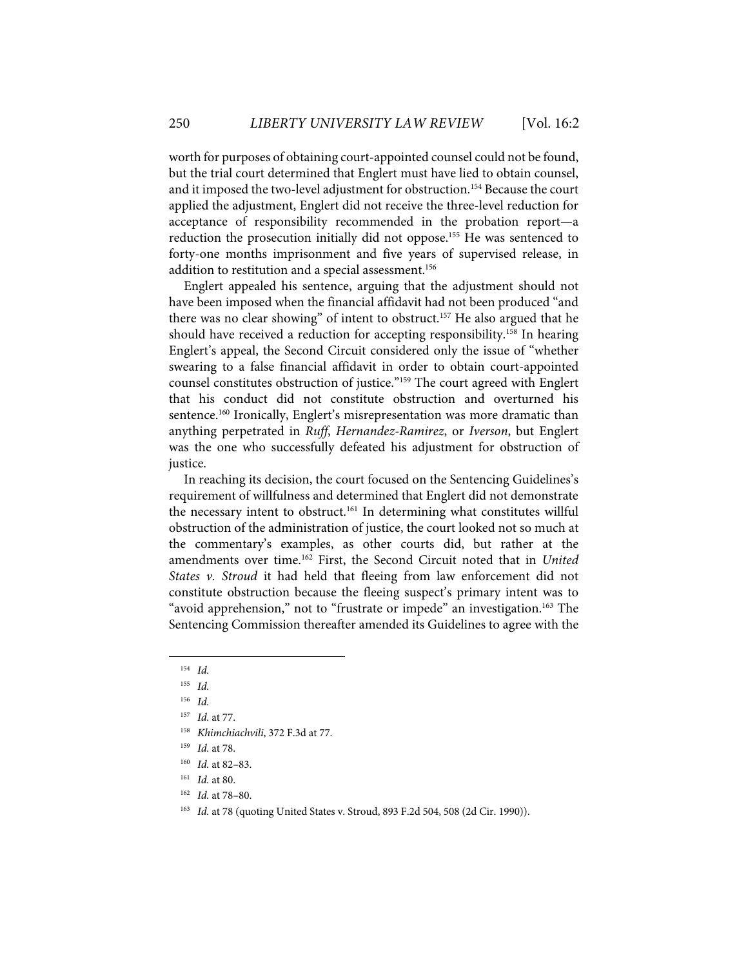worth for purposes of obtaining court-appointed counsel could not be found, but the trial court determined that Englert must have lied to obtain counsel, and it imposed the two-level adjustment for obstruction.<sup>154</sup> Because the court applied the adjustment, Englert did not receive the three-level reduction for acceptance of responsibility recommended in the probation report—a reduction the prosecution initially did not oppose.<sup>155</sup> He was sentenced to forty-one months imprisonment and five years of supervised release, in addition to restitution and a special assessment.<sup>156</sup>

Englert appealed his sentence, arguing that the adjustment should not have been imposed when the financial affidavit had not been produced "and there was no clear showing" of intent to obstruct.<sup>157</sup> He also argued that he should have received a reduction for accepting responsibility.<sup>158</sup> In hearing Englert's appeal, the Second Circuit considered only the issue of "whether swearing to a false financial affidavit in order to obtain court-appointed counsel constitutes obstruction of justice."159 The court agreed with Englert that his conduct did not constitute obstruction and overturned his sentence.<sup>160</sup> Ironically, Englert's misrepresentation was more dramatic than anything perpetrated in *Ruff*, *Hernandez-Ramirez*, or *Iverson*, but Englert was the one who successfully defeated his adjustment for obstruction of justice.

In reaching its decision, the court focused on the Sentencing Guidelines's requirement of willfulness and determined that Englert did not demonstrate the necessary intent to obstruct.<sup>161</sup> In determining what constitutes willful obstruction of the administration of justice, the court looked not so much at the commentary's examples, as other courts did, but rather at the amendments over time.162 First, the Second Circuit noted that in *United States v. Stroud* it had held that fleeing from law enforcement did not constitute obstruction because the fleeing suspect's primary intent was to "avoid apprehension," not to "frustrate or impede" an investigation.<sup>163</sup> The Sentencing Commission thereafter amended its Guidelines to agree with the

- 162 *Id.* at 78–80.
- <sup>163</sup> *Id.* at 78 (quoting United States v. Stroud, 893 F.2d 504, 508 (2d Cir. 1990)).

<sup>154</sup> *Id.* 

<sup>155</sup> *Id.* 

<sup>156</sup> *Id.* 

<sup>157</sup> *Id.* at 77.

<sup>158</sup> *Khimchiachvili*, 372 F.3d at 77.

<sup>159</sup> *Id.* at 78.

<sup>160</sup> *Id.* at 82–83.

<sup>161</sup> *Id.* at 80.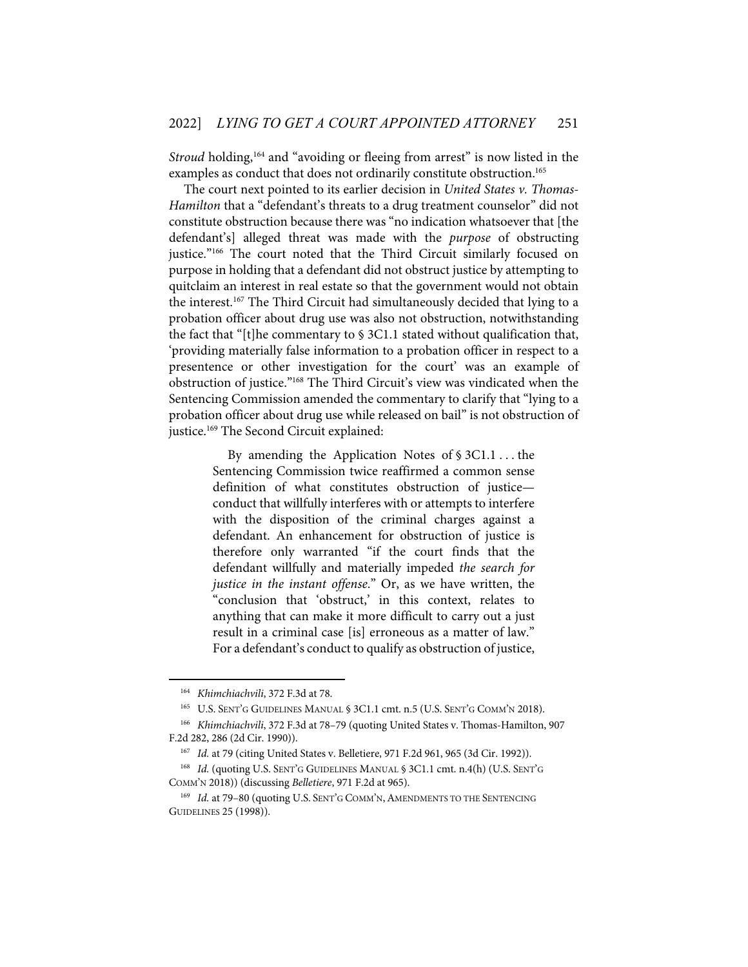*Stroud* holding,<sup>164</sup> and "avoiding or fleeing from arrest" is now listed in the examples as conduct that does not ordinarily constitute obstruction.<sup>165</sup>

The court next pointed to its earlier decision in *United States v. Thomas-Hamilton* that a "defendant's threats to a drug treatment counselor" did not constitute obstruction because there was "no indication whatsoever that [the defendant's] alleged threat was made with the *purpose* of obstructing justice."<sup>166</sup> The court noted that the Third Circuit similarly focused on purpose in holding that a defendant did not obstruct justice by attempting to quitclaim an interest in real estate so that the government would not obtain the interest. <sup>167</sup> The Third Circuit had simultaneously decided that lying to a probation officer about drug use was also not obstruction, notwithstanding the fact that "[t]he commentary to § 3C1.1 stated without qualification that, 'providing materially false information to a probation officer in respect to a presentence or other investigation for the court' was an example of obstruction of justice."168 The Third Circuit's view was vindicated when the Sentencing Commission amended the commentary to clarify that "lying to a probation officer about drug use while released on bail" is not obstruction of justice.<sup>169</sup> The Second Circuit explained:

> By amending the Application Notes of § 3C1.1 . . . the Sentencing Commission twice reaffirmed a common sense definition of what constitutes obstruction of justice conduct that willfully interferes with or attempts to interfere with the disposition of the criminal charges against a defendant. An enhancement for obstruction of justice is therefore only warranted "if the court finds that the defendant willfully and materially impeded *the search for justice in the instant offense*." Or, as we have written, the "conclusion that 'obstruct,' in this context, relates to anything that can make it more difficult to carry out a just result in a criminal case [is] erroneous as a matter of law." For a defendant's conduct to qualify as obstruction of justice,

<sup>164</sup> *Khimchiachvili*, 372 F.3d at 78.

<sup>165</sup> U.S. SENT'G GUIDELINES MANUAL § 3C1.1 cmt. n.5 (U.S. SENT'G COMM'N 2018).

<sup>166</sup> *Khimchiachvili*, 372 F.3d at 78–79 (quoting United States v. Thomas-Hamilton, 907 F.2d 282, 286 (2d Cir. 1990)).

<sup>&</sup>lt;sup>167</sup> *Id.* at 79 (citing United States v. Belletiere, 971 F.2d 961, 965 (3d Cir. 1992)).

<sup>&</sup>lt;sup>168</sup> *Id.* (quoting U.S. SENT'G GUIDELINES MANUAL § 3C1.1 cmt. n.4(h) (U.S. SENT'G COMM'N 2018)) (discussing *Belletiere*, 971 F.2d at 965).

<sup>&</sup>lt;sup>169</sup> *Id.* at 79-80 (quoting U.S. SENT'G COMM'N, AMENDMENTS TO THE SENTENCING GUIDELINES 25 (1998)).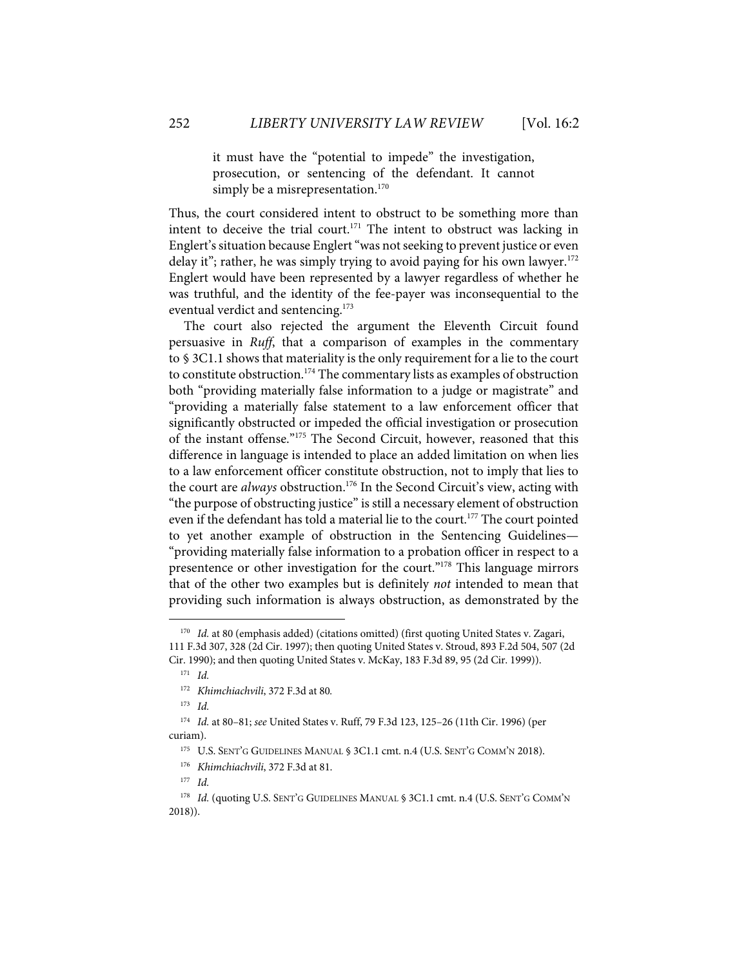it must have the "potential to impede" the investigation, prosecution, or sentencing of the defendant. It cannot simply be a misrepresentation.<sup>170</sup>

Thus, the court considered intent to obstruct to be something more than intent to deceive the trial court.<sup>171</sup> The intent to obstruct was lacking in Englert'ssituation because Englert "was not seeking to prevent justice or even delay it"; rather, he was simply trying to avoid paying for his own lawyer.<sup>172</sup> Englert would have been represented by a lawyer regardless of whether he was truthful, and the identity of the fee-payer was inconsequential to the eventual verdict and sentencing.<sup>173</sup>

The court also rejected the argument the Eleventh Circuit found persuasive in *Ruff*, that a comparison of examples in the commentary to § 3C1.1 shows that materiality is the only requirement for a lie to the court to constitute obstruction.<sup>174</sup> The commentary lists as examples of obstruction both "providing materially false information to a judge or magistrate" and "providing a materially false statement to a law enforcement officer that significantly obstructed or impeded the official investigation or prosecution of the instant offense."<sup>175</sup> The Second Circuit, however, reasoned that this difference in language is intended to place an added limitation on when lies to a law enforcement officer constitute obstruction, not to imply that lies to the court are *always* obstruction.<sup>176</sup> In the Second Circuit's view, acting with "the purpose of obstructing justice" is still a necessary element of obstruction even if the defendant has told a material lie to the court.<sup>177</sup> The court pointed to yet another example of obstruction in the Sentencing Guidelines— "providing materially false information to a probation officer in respect to a presentence or other investigation for the court."<sup>178</sup> This language mirrors that of the other two examples but is definitely *not* intended to mean that providing such information is always obstruction, as demonstrated by the

173 *Id.*

<sup>&</sup>lt;sup>170</sup> *Id.* at 80 (emphasis added) (citations omitted) (first quoting United States v. Zagari, 111 F.3d 307, 328 (2d Cir. 1997); then quoting United States v. Stroud, 893 F.2d 504, 507 (2d Cir. 1990); and then quoting United States v. McKay, 183 F.3d 89, 95 (2d Cir. 1999)).

 $171$  *Id.* 

<sup>172</sup> *Khimchiachvili*, 372 F.3d at 80*.* 

<sup>174</sup> *Id.* at 80–81; *see* United States v. Ruff, 79 F.3d 123, 125–26 (11th Cir. 1996) (per curiam).

<sup>&</sup>lt;sup>175</sup> U.S. SENT'G GUIDELINES MANUAL § 3C1.1 cmt. n.4 (U.S. SENT'G COMM'N 2018).

<sup>176</sup> *Khimchiachvili*, 372 F.3d at 81.

<sup>177</sup> *Id.*

<sup>&</sup>lt;sup>178</sup> Id. (quoting U.S. SENT'G GUIDELINES MANUAL § 3C1.1 cmt. n.4 (U.S. SENT'G COMM'N 2018)).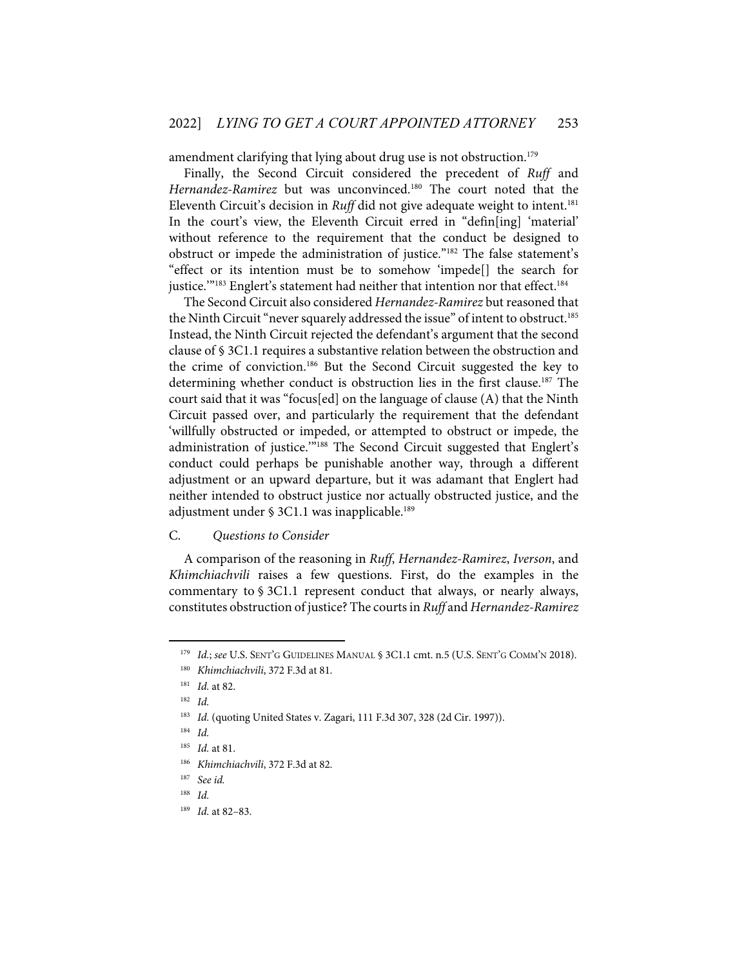amendment clarifying that lying about drug use is not obstruction.<sup>179</sup>

Finally, the Second Circuit considered the precedent of *Ruff* and *Hernandez-Ramirez* but was unconvinced.<sup>180</sup> The court noted that the Eleventh Circuit's decision in *Ruff* did not give adequate weight to intent.<sup>181</sup> In the court's view, the Eleventh Circuit erred in "defin[ing] 'material' without reference to the requirement that the conduct be designed to obstruct or impede the administration of justice."182 The false statement's "effect or its intention must be to somehow 'impede[] the search for justice."<sup>183</sup> Englert's statement had neither that intention nor that effect.<sup>184</sup>

The Second Circuit also considered *Hernandez-Ramirez* but reasoned that the Ninth Circuit "never squarely addressed the issue" of intent to obstruct.<sup>185</sup> Instead, the Ninth Circuit rejected the defendant's argument that the second clause of § 3C1.1 requires a substantive relation between the obstruction and the crime of conviction.186 But the Second Circuit suggested the key to determining whether conduct is obstruction lies in the first clause.<sup>187</sup> The court said that it was "focus[ed] on the language of clause (A) that the Ninth Circuit passed over, and particularly the requirement that the defendant 'willfully obstructed or impeded, or attempted to obstruct or impede, the administration of justice."<sup>188</sup> The Second Circuit suggested that Englert's conduct could perhaps be punishable another way, through a different adjustment or an upward departure, but it was adamant that Englert had neither intended to obstruct justice nor actually obstructed justice, and the adjustment under § 3C1.1 was inapplicable.<sup>189</sup>

#### C. *Questions to Consider*

A comparison of the reasoning in *Ruff*, *Hernandez-Ramirez*, *Iverson*, and *Khimchiachvili* raises a few questions. First, do the examples in the commentary to § 3C1.1 represent conduct that always, or nearly always, constitutes obstruction of justice? The courts in *Ruff* and *Hernandez-Ramirez* 

<sup>179</sup> *Id.*; *see* U.S. SENT'G GUIDELINES MANUAL § 3C1.1 cmt. n.5 (U.S. SENT'G COMM'N 2018).

<sup>180</sup> *Khimchiachvili*, 372 F.3d at 81.

<sup>181</sup> *Id.* at 82.

<sup>182</sup> *Id.* 

<sup>&</sup>lt;sup>183</sup> *Id.* (quoting United States v. Zagari, 111 F.3d 307, 328 (2d Cir. 1997)).

<sup>184</sup> *Id.* 

<sup>185</sup> *Id.* at 81.

<sup>186</sup> *Khimchiachvili*, 372 F.3d at 82.

<sup>187</sup> *See id.*

<sup>188</sup> *Id.*

<sup>189</sup> *Id.* at 82–83.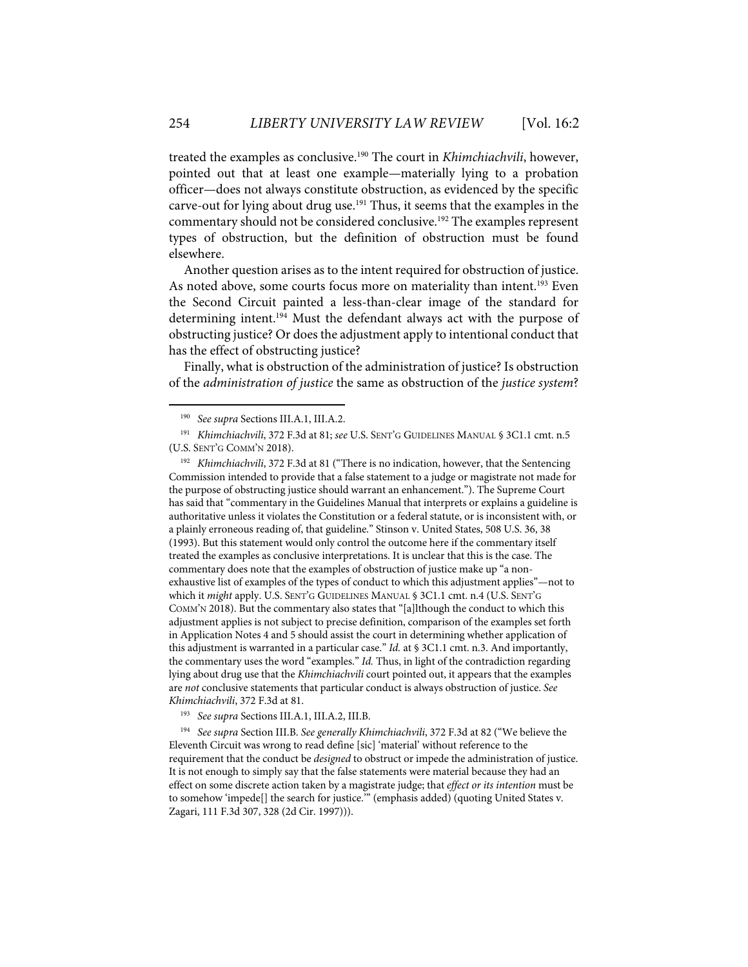treated the examples as conclusive.190 The court in *Khimchiachvili*, however, pointed out that at least one example—materially lying to a probation officer—does not always constitute obstruction, as evidenced by the specific carve-out for lying about drug use.<sup>191</sup> Thus, it seems that the examples in the commentary should not be considered conclusive.192 The examples represent types of obstruction, but the definition of obstruction must be found elsewhere.

Another question arises as to the intent required for obstruction of justice. As noted above, some courts focus more on materiality than intent.<sup>193</sup> Even the Second Circuit painted a less-than-clear image of the standard for determining intent.<sup>194</sup> Must the defendant always act with the purpose of obstructing justice? Or does the adjustment apply to intentional conduct that has the effect of obstructing justice?

Finally, what is obstruction of the administration of justice? Is obstruction of the *administration of justice* the same as obstruction of the *justice system*?

<sup>192</sup> *Khimchiachvili*, 372 F.3d at 81 ("There is no indication, however, that the Sentencing Commission intended to provide that a false statement to a judge or magistrate not made for the purpose of obstructing justice should warrant an enhancement."). The Supreme Court has said that "commentary in the Guidelines Manual that interprets or explains a guideline is authoritative unless it violates the Constitution or a federal statute, or is inconsistent with, or a plainly erroneous reading of, that guideline." Stinson v. United States, 508 U.S. 36, 38 (1993). But this statement would only control the outcome here if the commentary itself treated the examples as conclusive interpretations. It is unclear that this is the case. The commentary does note that the examples of obstruction of justice make up "a nonexhaustive list of examples of the types of conduct to which this adjustment applies"—not to which it *might* apply. U.S. SENT'G GUIDELINES MANUAL § 3C1.1 cmt. n.4 (U.S. SENT'G COMM'N 2018). But the commentary also states that "[a]lthough the conduct to which this adjustment applies is not subject to precise definition, comparison of the examples set forth in Application Notes 4 and 5 should assist the court in determining whether application of this adjustment is warranted in a particular case." *Id.* at § 3C1.1 cmt. n.3. And importantly, the commentary uses the word "examples." *Id.* Thus, in light of the contradiction regarding lying about drug use that the *Khimchiachvili* court pointed out, it appears that the examples are *not* conclusive statements that particular conduct is always obstruction of justice. *See Khimchiachvili*, 372 F.3d at 81.

193 *See supra* Sections III.A.1, III.A.2, III.B.

194 *See supra* Section III.B. *See generally Khimchiachvili*, 372 F.3d at 82 ("We believe the Eleventh Circuit was wrong to read define [sic] 'material' without reference to the requirement that the conduct be *designed* to obstruct or impede the administration of justice. It is not enough to simply say that the false statements were material because they had an effect on some discrete action taken by a magistrate judge; that *effect or its intention* must be to somehow 'impede[] the search for justice.'" (emphasis added) (quoting United States v. Zagari, 111 F.3d 307, 328 (2d Cir. 1997))).

<sup>190</sup> *See supra* Sections III.A.1, III.A.2.

<sup>191</sup> *Khimchiachvili*, 372 F.3d at 81; *see* U.S. SENT'G GUIDELINES MANUAL § 3C1.1 cmt. n.5 (U.S. SENT'G COMM'N 2018).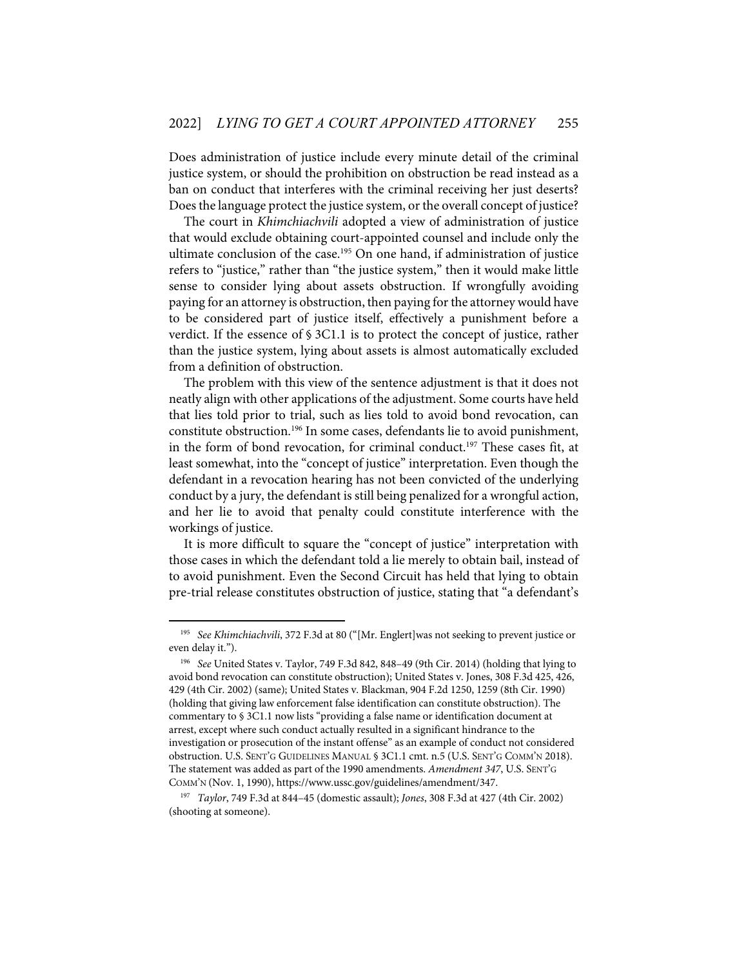Does administration of justice include every minute detail of the criminal justice system, or should the prohibition on obstruction be read instead as a ban on conduct that interferes with the criminal receiving her just deserts? Does the language protect the justice system, or the overall concept of justice?

The court in *Khimchiachvili* adopted a view of administration of justice that would exclude obtaining court-appointed counsel and include only the ultimate conclusion of the case.<sup>195</sup> On one hand, if administration of justice refers to "justice," rather than "the justice system," then it would make little sense to consider lying about assets obstruction. If wrongfully avoiding paying for an attorney is obstruction, then paying for the attorney would have to be considered part of justice itself, effectively a punishment before a verdict. If the essence of § 3C1.1 is to protect the concept of justice, rather than the justice system, lying about assets is almost automatically excluded from a definition of obstruction.

The problem with this view of the sentence adjustment is that it does not neatly align with other applications of the adjustment. Some courts have held that lies told prior to trial, such as lies told to avoid bond revocation, can constitute obstruction.196 In some cases, defendants lie to avoid punishment, in the form of bond revocation, for criminal conduct.<sup>197</sup> These cases fit, at least somewhat, into the "concept of justice" interpretation. Even though the defendant in a revocation hearing has not been convicted of the underlying conduct by a jury, the defendant is still being penalized for a wrongful action, and her lie to avoid that penalty could constitute interference with the workings of justice.

It is more difficult to square the "concept of justice" interpretation with those cases in which the defendant told a lie merely to obtain bail, instead of to avoid punishment. Even the Second Circuit has held that lying to obtain pre-trial release constitutes obstruction of justice, stating that "a defendant's

<sup>&</sup>lt;sup>195</sup> See Khimchiachvili, 372 F.3d at 80 ("[Mr. Englert]was not seeking to prevent justice or even delay it.").

<sup>196</sup> *See* United States v. Taylor, 749 F.3d 842, 848–49 (9th Cir. 2014) (holding that lying to avoid bond revocation can constitute obstruction); United States v. Jones, 308 F.3d 425, 426, 429 (4th Cir. 2002) (same); United States v. Blackman, 904 F.2d 1250, 1259 (8th Cir. 1990) (holding that giving law enforcement false identification can constitute obstruction). The commentary to § 3C1.1 now lists "providing a false name or identification document at arrest, except where such conduct actually resulted in a significant hindrance to the investigation or prosecution of the instant offense" as an example of conduct not considered obstruction. U.S. SENT'G GUIDELINES MANUAL § 3C1.1 cmt. n.5 (U.S. SENT'G COMM'N 2018). The statement was added as part of the 1990 amendments. *Amendment 347*, U.S. SENT'G COMM'N (Nov. 1, 1990), https://www.ussc.gov/guidelines/amendment/347.

<sup>197</sup> *Taylor*, 749 F.3d at 844–45 (domestic assault); *Jones*, 308 F.3d at 427 (4th Cir. 2002) (shooting at someone).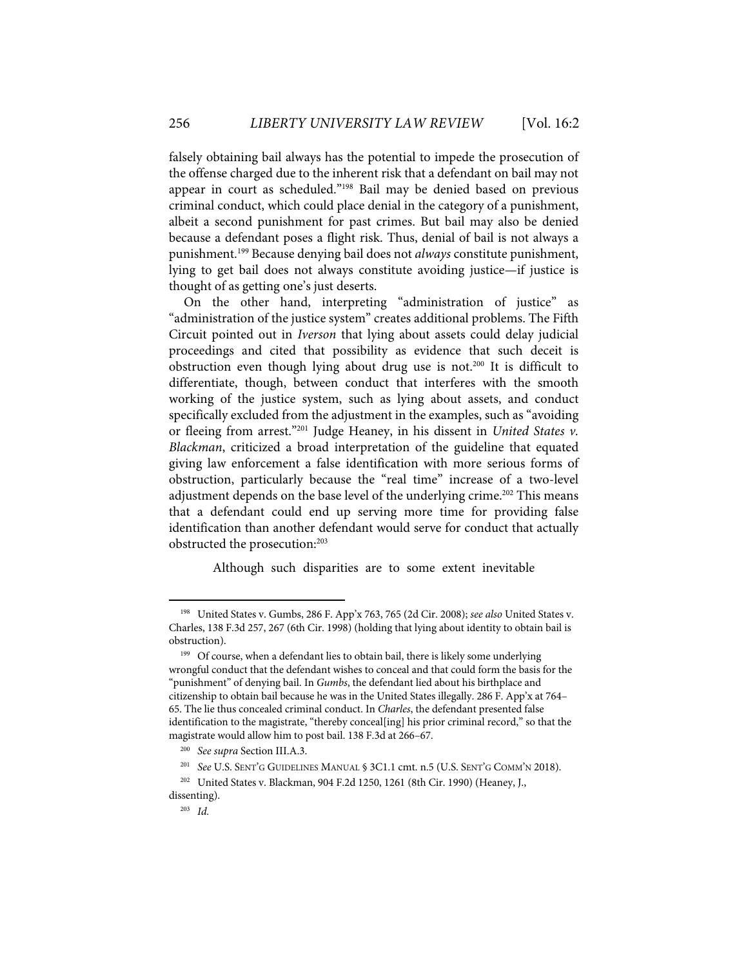falsely obtaining bail always has the potential to impede the prosecution of the offense charged due to the inherent risk that a defendant on bail may not appear in court as scheduled."198 Bail may be denied based on previous criminal conduct, which could place denial in the category of a punishment, albeit a second punishment for past crimes. But bail may also be denied because a defendant poses a flight risk. Thus, denial of bail is not always a punishment.199 Because denying bail does not *always* constitute punishment, lying to get bail does not always constitute avoiding justice—if justice is thought of as getting one's just deserts.

On the other hand, interpreting "administration of justice" as "administration of the justice system" creates additional problems. The Fifth Circuit pointed out in *Iverson* that lying about assets could delay judicial proceedings and cited that possibility as evidence that such deceit is obstruction even though lying about drug use is not.<sup>200</sup> It is difficult to differentiate, though, between conduct that interferes with the smooth working of the justice system, such as lying about assets, and conduct specifically excluded from the adjustment in the examples, such as "avoiding or fleeing from arrest."201 Judge Heaney, in his dissent in *United States v. Blackman*, criticized a broad interpretation of the guideline that equated giving law enforcement a false identification with more serious forms of obstruction, particularly because the "real time" increase of a two-level adjustment depends on the base level of the underlying crime.<sup>202</sup> This means that a defendant could end up serving more time for providing false identification than another defendant would serve for conduct that actually obstructed the prosecution:<sup>203</sup>

Although such disparities are to some extent inevitable

<sup>198</sup> United States v. Gumbs, 286 F. App'x 763, 765 (2d Cir. 2008); *see also* United States v. Charles, 138 F.3d 257, 267 (6th Cir. 1998) (holding that lying about identity to obtain bail is obstruction).

<sup>&</sup>lt;sup>199</sup> Of course, when a defendant lies to obtain bail, there is likely some underlying wrongful conduct that the defendant wishes to conceal and that could form the basis for the "punishment" of denying bail. In *Gumbs*, the defendant lied about his birthplace and citizenship to obtain bail because he was in the United States illegally. 286 F. App'x at 764– 65. The lie thus concealed criminal conduct. In *Charles*, the defendant presented false identification to the magistrate, "thereby conceal[ing] his prior criminal record," so that the magistrate would allow him to post bail. 138 F.3d at 266–67.

<sup>200</sup> *See supra* Section III.A.3.

<sup>201</sup> *See* U.S. SENT'G GUIDELINES MANUAL § 3C1.1 cmt. n.5 (U.S. SENT'G COMM'N 2018).

<sup>202</sup> United States v. Blackman, 904 F.2d 1250, 1261 (8th Cir. 1990) (Heaney, J., dissenting).

<sup>203</sup> *Id.*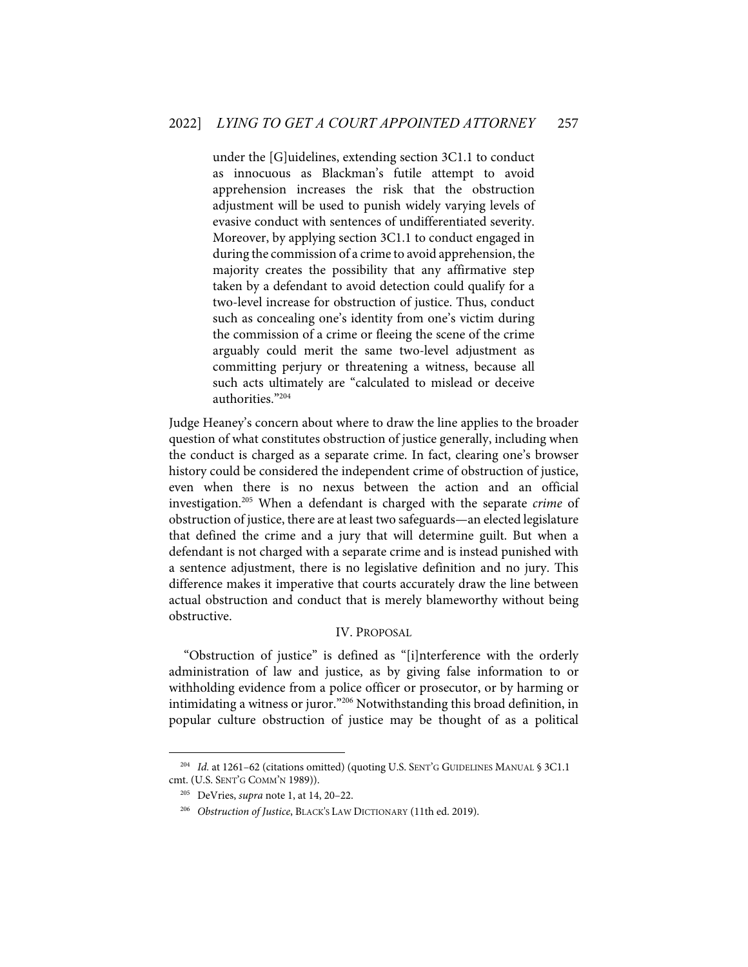under the [G]uidelines, extending section 3C1.1 to conduct as innocuous as Blackman's futile attempt to avoid apprehension increases the risk that the obstruction adjustment will be used to punish widely varying levels of evasive conduct with sentences of undifferentiated severity. Moreover, by applying section 3C1.1 to conduct engaged in during the commission of a crime to avoid apprehension, the majority creates the possibility that any affirmative step taken by a defendant to avoid detection could qualify for a two-level increase for obstruction of justice. Thus, conduct such as concealing one's identity from one's victim during the commission of a crime or fleeing the scene of the crime arguably could merit the same two-level adjustment as committing perjury or threatening a witness, because all such acts ultimately are "calculated to mislead or deceive authorities."204

Judge Heaney's concern about where to draw the line applies to the broader question of what constitutes obstruction of justice generally, including when the conduct is charged as a separate crime. In fact, clearing one's browser history could be considered the independent crime of obstruction of justice, even when there is no nexus between the action and an official investigation.205 When a defendant is charged with the separate *crime* of obstruction of justice, there are at least two safeguards—an elected legislature that defined the crime and a jury that will determine guilt. But when a defendant is not charged with a separate crime and is instead punished with a sentence adjustment, there is no legislative definition and no jury. This difference makes it imperative that courts accurately draw the line between actual obstruction and conduct that is merely blameworthy without being obstructive.

### IV. PROPOSAL

"Obstruction of justice" is defined as "[i]nterference with the orderly administration of law and justice, as by giving false information to or withholding evidence from a police officer or prosecutor, or by harming or intimidating a witness or juror."206 Notwithstanding this broad definition, in popular culture obstruction of justice may be thought of as a political

<sup>&</sup>lt;sup>204</sup> *Id.* at 1261–62 (citations omitted) (quoting U.S. SENT'G GUIDELINES MANUAL § 3C1.1 cmt. (U.S. SENT'G COMM'N 1989)).

<sup>205</sup> DeVries, *supra* note 1, at 14, 20–22.

<sup>206</sup> *Obstruction of Justice*, BLACK'S LAW DICTIONARY (11th ed. 2019).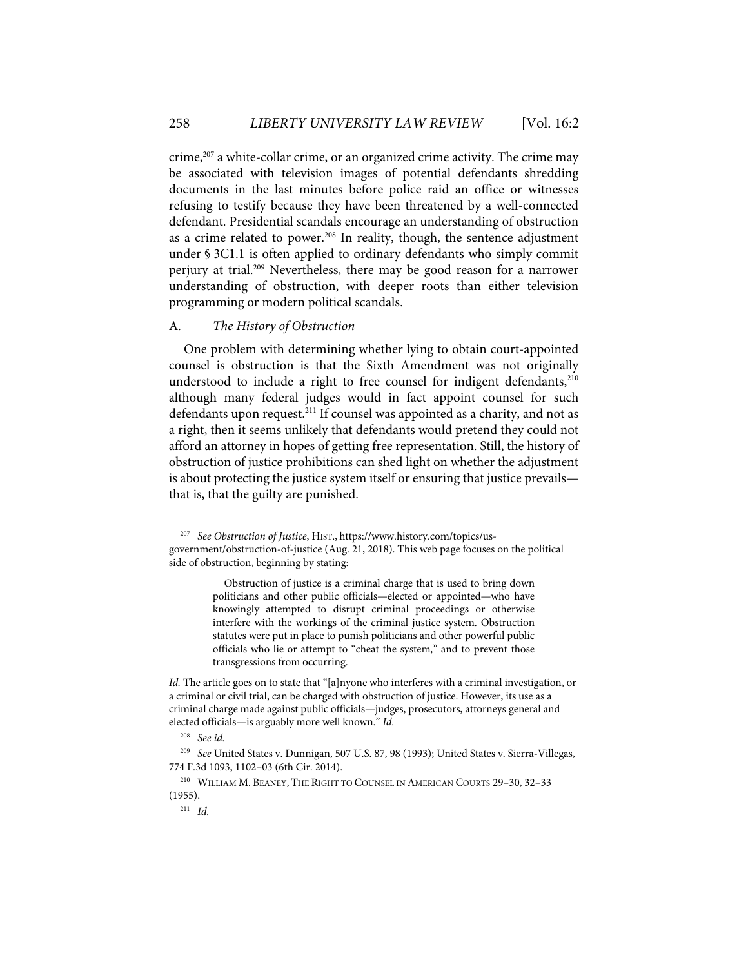crime,<sup>207</sup> a white-collar crime, or an organized crime activity. The crime may be associated with television images of potential defendants shredding documents in the last minutes before police raid an office or witnesses refusing to testify because they have been threatened by a well-connected defendant. Presidential scandals encourage an understanding of obstruction as a crime related to power.<sup>208</sup> In reality, though, the sentence adjustment under § 3C1.1 is often applied to ordinary defendants who simply commit perjury at trial.209 Nevertheless, there may be good reason for a narrower understanding of obstruction, with deeper roots than either television programming or modern political scandals.

#### A. *The History of Obstruction*

One problem with determining whether lying to obtain court-appointed counsel is obstruction is that the Sixth Amendment was not originally understood to include a right to free counsel for indigent defendants, $210$ although many federal judges would in fact appoint counsel for such defendants upon request.<sup>211</sup> If counsel was appointed as a charity, and not as a right, then it seems unlikely that defendants would pretend they could not afford an attorney in hopes of getting free representation. Still, the history of obstruction of justice prohibitions can shed light on whether the adjustment is about protecting the justice system itself or ensuring that justice prevails that is, that the guilty are punished.

<sup>207</sup> *See Obstruction of Justice*, HIST., https://www.history.com/topics/usgovernment/obstruction-of-justice (Aug. 21, 2018). This web page focuses on the political side of obstruction, beginning by stating:

Obstruction of justice is a criminal charge that is used to bring down politicians and other public officials—elected or appointed—who have knowingly attempted to disrupt criminal proceedings or otherwise interfere with the workings of the criminal justice system. Obstruction statutes were put in place to punish politicians and other powerful public officials who lie or attempt to "cheat the system," and to prevent those transgressions from occurring.

*Id.* The article goes on to state that "[a]nyone who interferes with a criminal investigation, or a criminal or civil trial, can be charged with obstruction of justice. However, its use as a criminal charge made against public officials—judges, prosecutors, attorneys general and elected officials—is arguably more well known." *Id.* 

<sup>208</sup> *See id.*

<sup>209</sup> *See* United States v. Dunnigan, 507 U.S. 87, 98 (1993); United States v. Sierra-Villegas, 774 F.3d 1093, 1102–03 (6th Cir. 2014).

<sup>210</sup> WILLIAM M. BEANEY, THE RIGHT TO COUNSEL IN AMERICAN COURTS 29–30, 32–33 (1955).

 $211$  *Id.*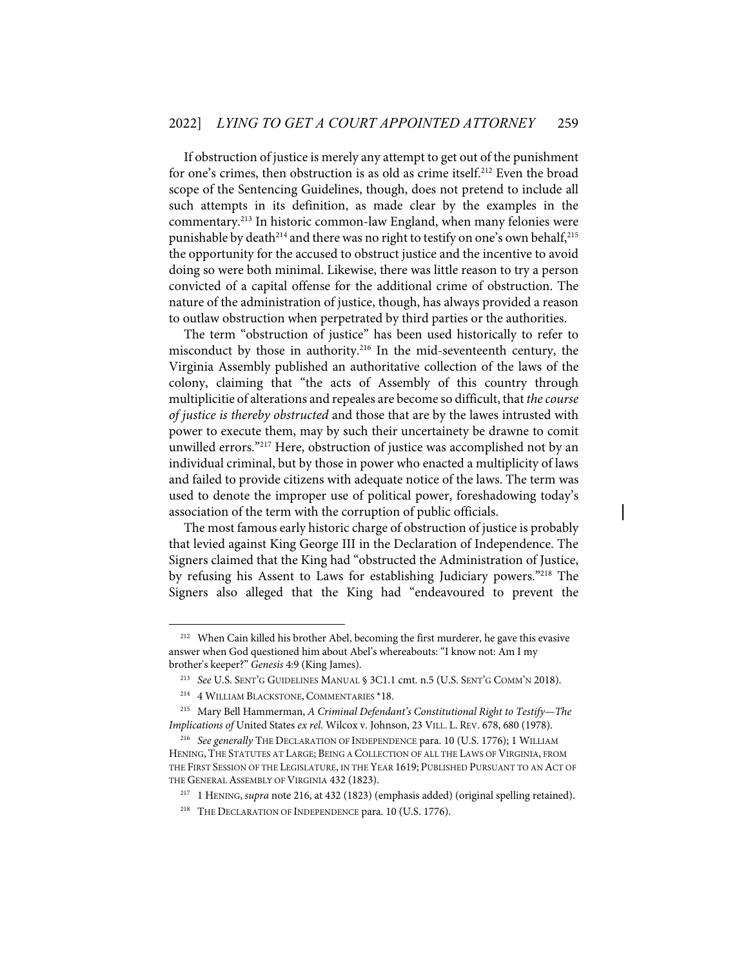If obstruction of justice is merely any attempt to get out of the punishment for one's crimes, then obstruction is as old as crime itself.<sup>212</sup> Even the broad scope of the Sentencing Guidelines, though, does not pretend to include all such attempts in its definition, as made clear by the examples in the commentary.213 In historic common-law England, when many felonies were punishable by death<sup>214</sup> and there was no right to testify on one's own behalf,<sup>215</sup> the opportunity for the accused to obstruct justice and the incentive to avoid doing so were both minimal. Likewise, there was little reason to try a person convicted of a capital offense for the additional crime of obstruction. The nature of the administration of justice, though, has always provided a reason to outlaw obstruction when perpetrated by third parties or the authorities.

The term "obstruction of justice" has been used historically to refer to misconduct by those in authority.216 In the mid-seventeenth century, the Virginia Assembly published an authoritative collection of the laws of the colony, claiming that "the acts of Assembly of this country through multiplicitie of alterations and repeales are become so difficult, that *the course of justice is thereby obstructed* and those that are by the lawes intrusted with power to execute them, may by such their uncertainety be drawne to comit unwilled errors."<sup>217</sup> Here, obstruction of justice was accomplished not by an individual criminal, but by those in power who enacted a multiplicity of laws and failed to provide citizens with adequate notice of the laws. The term was used to denote the improper use of political power, foreshadowing today's association of the term with the corruption of public officials.

The most famous early historic charge of obstruction of justice is probably that levied against King George III in the Declaration of Independence. The Signers claimed that the King had "obstructed the Administration of Justice, by refusing his Assent to Laws for establishing Judiciary powers."218 The Signers also alleged that the King had "endeavoured to prevent the

<sup>&</sup>lt;sup>212</sup> When Cain killed his brother Abel, becoming the first murderer, he gave this evasive answer when God questioned him about Abel's whereabouts: "I know not: Am I my brother's keeper?" *Genesis* 4:9 (King James).

<sup>213</sup> *See* U.S. SENT'G GUIDELINES MANUAL § 3C1.1 cmt. n.5 (U.S. SENT'G COMM'N 2018).

<sup>&</sup>lt;sup>214</sup> 4 WILLIAM BLACKSTONE, COMMENTARIES \*18.

<sup>215</sup> Mary Bell Hammerman, *A Criminal Defendant's Constitutional Right to Testify—The Implications of* United States *ex rel.* Wilcox v. Johnson, 23 VILL. L. REV. 678, 680 (1978).

<sup>216</sup> *See generally* THE DECLARATION OF INDEPENDENCE para. 10 (U.S. 1776); 1 WILLIAM HENING, THE STATUTES AT LARGE; BEING A COLLECTION OF ALL THE LAWS OF VIRGINIA, FROM THE FIRST SESSION OF THE LEGISLATURE, IN THE YEAR 1619; PUBLISHED PURSUANT TO AN ACT OF THE GENERAL ASSEMBLY OF VIRGINIA 432 (1823).

<sup>217 1</sup> HENING, *supra* note 216, at 432 (1823) (emphasis added) (original spelling retained).

<sup>&</sup>lt;sup>218</sup> THE DECLARATION OF INDEPENDENCE para. 10 (U.S. 1776).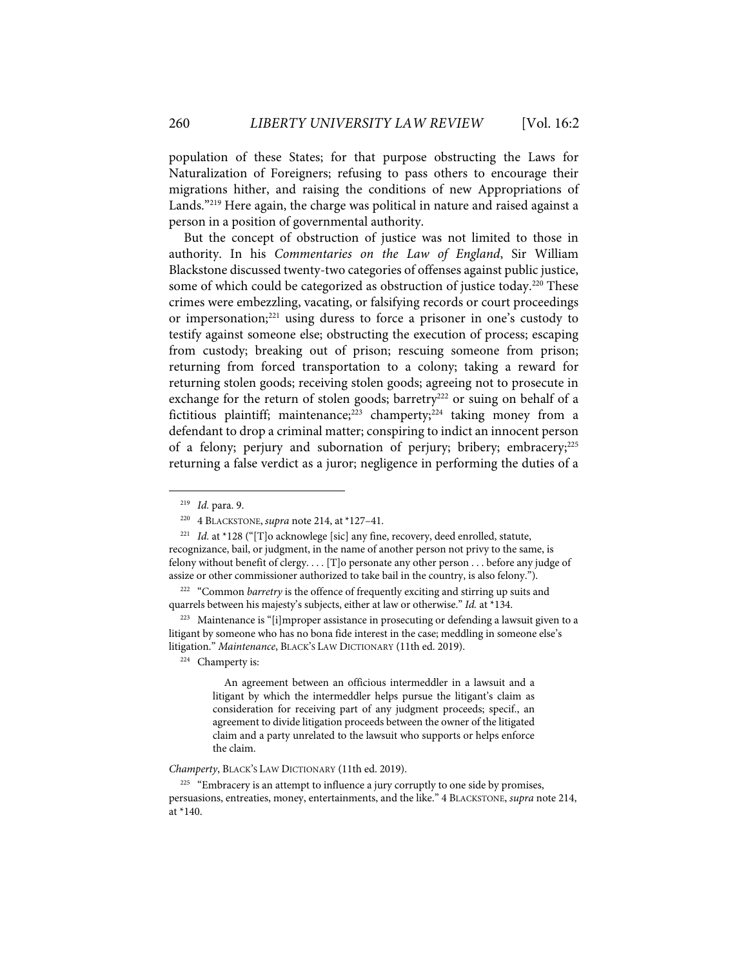population of these States; for that purpose obstructing the Laws for Naturalization of Foreigners; refusing to pass others to encourage their migrations hither, and raising the conditions of new Appropriations of Lands."219 Here again, the charge was political in nature and raised against a person in a position of governmental authority.

But the concept of obstruction of justice was not limited to those in authority. In his *Commentaries on the Law of England*, Sir William Blackstone discussed twenty-two categories of offenses against public justice, some of which could be categorized as obstruction of justice today.<sup>220</sup> These crimes were embezzling, vacating, or falsifying records or court proceedings or impersonation;<sup>221</sup> using duress to force a prisoner in one's custody to testify against someone else; obstructing the execution of process; escaping from custody; breaking out of prison; rescuing someone from prison; returning from forced transportation to a colony; taking a reward for returning stolen goods; receiving stolen goods; agreeing not to prosecute in exchange for the return of stolen goods; barretry<sup>222</sup> or suing on behalf of a fictitious plaintiff; maintenance; $223$  champerty; $224$  taking money from a defendant to drop a criminal matter; conspiring to indict an innocent person of a felony; perjury and subornation of perjury; bribery; embracery;<sup>225</sup> returning a false verdict as a juror; negligence in performing the duties of a

<sup>221</sup> *Id.* at \*128 ("[T]o acknowlege [sic] any fine, recovery, deed enrolled, statute, recognizance, bail, or judgment, in the name of another person not privy to the same, is felony without benefit of clergy. . . . [T]o personate any other person . . . before any judge of assize or other commissioner authorized to take bail in the country, is also felony.").

<sup>223</sup> Maintenance is "[i]mproper assistance in prosecuting or defending a lawsuit given to a litigant by someone who has no bona fide interest in the case; meddling in someone else's litigation." *Maintenance*, BLACK'S LAW DICTIONARY (11th ed. 2019).

224 Champerty is:

An agreement between an officious intermeddler in a lawsuit and a litigant by which the intermeddler helps pursue the litigant's claim as consideration for receiving part of any judgment proceeds; specif., an agreement to divide litigation proceeds between the owner of the litigated claim and a party unrelated to the lawsuit who supports or helps enforce the claim.

*Champerty*, BLACK'S LAW DICTIONARY (11th ed. 2019).

<sup>225</sup> "Embracery is an attempt to influence a jury corruptly to one side by promises, persuasions, entreaties, money, entertainments, and the like." 4 BLACKSTONE, *supra* note 214, at \*140.

<sup>219</sup> *Id.* para. 9.

<sup>220 4</sup> BLACKSTONE, *supra* note 214, at \*127–41.

<sup>&</sup>lt;sup>222</sup> "Common *barretry* is the offence of frequently exciting and stirring up suits and quarrels between his majesty's subjects, either at law or otherwise." *Id.* at \*134.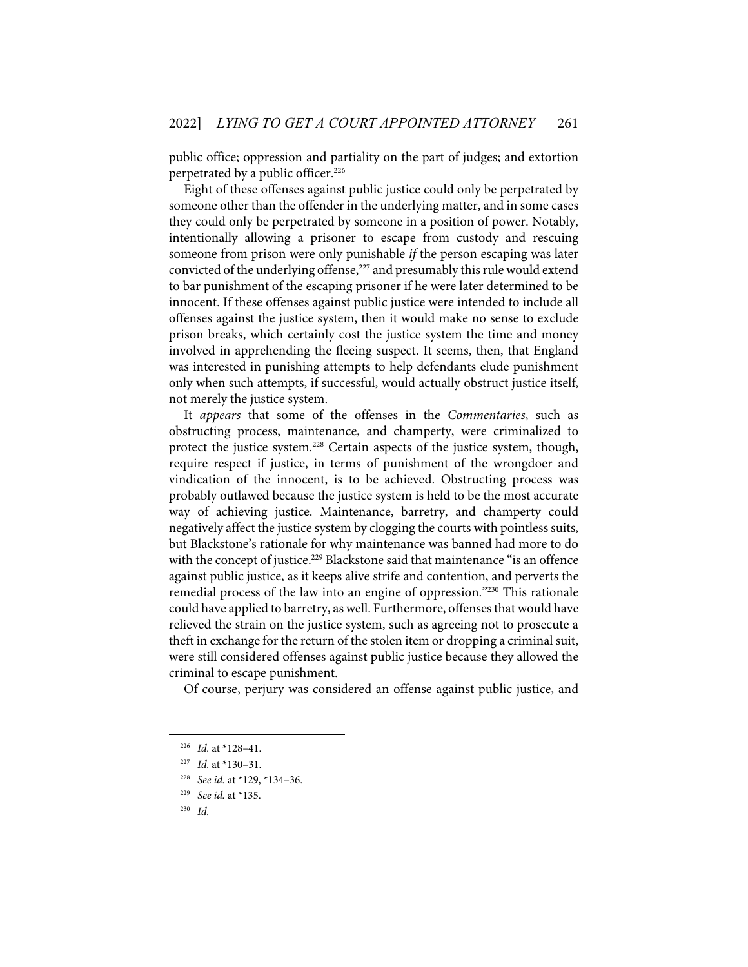public office; oppression and partiality on the part of judges; and extortion perpetrated by a public officer.<sup>226</sup>

Eight of these offenses against public justice could only be perpetrated by someone other than the offender in the underlying matter, and in some cases they could only be perpetrated by someone in a position of power. Notably, intentionally allowing a prisoner to escape from custody and rescuing someone from prison were only punishable *if* the person escaping was later convicted of the underlying offense,<sup>227</sup> and presumably this rule would extend to bar punishment of the escaping prisoner if he were later determined to be innocent. If these offenses against public justice were intended to include all offenses against the justice system, then it would make no sense to exclude prison breaks, which certainly cost the justice system the time and money involved in apprehending the fleeing suspect. It seems, then, that England was interested in punishing attempts to help defendants elude punishment only when such attempts, if successful, would actually obstruct justice itself, not merely the justice system.

It *appears* that some of the offenses in the *Commentaries*, such as obstructing process, maintenance, and champerty, were criminalized to protect the justice system.<sup>228</sup> Certain aspects of the justice system, though, require respect if justice, in terms of punishment of the wrongdoer and vindication of the innocent, is to be achieved. Obstructing process was probably outlawed because the justice system is held to be the most accurate way of achieving justice. Maintenance, barretry, and champerty could negatively affect the justice system by clogging the courts with pointless suits, but Blackstone's rationale for why maintenance was banned had more to do with the concept of justice.<sup>229</sup> Blackstone said that maintenance "is an offence against public justice, as it keeps alive strife and contention, and perverts the remedial process of the law into an engine of oppression."230 This rationale could have applied to barretry, as well. Furthermore, offenses that would have relieved the strain on the justice system, such as agreeing not to prosecute a theft in exchange for the return of the stolen item or dropping a criminal suit, were still considered offenses against public justice because they allowed the criminal to escape punishment.

Of course, perjury was considered an offense against public justice, and

<sup>226</sup> *Id.* at \*128–41.

<sup>227</sup> *Id.* at \*130–31.

<sup>228</sup> *See id.* at \*129, \*134–36.

<sup>229</sup> *See id.* at \*135.

<sup>230</sup> *Id.*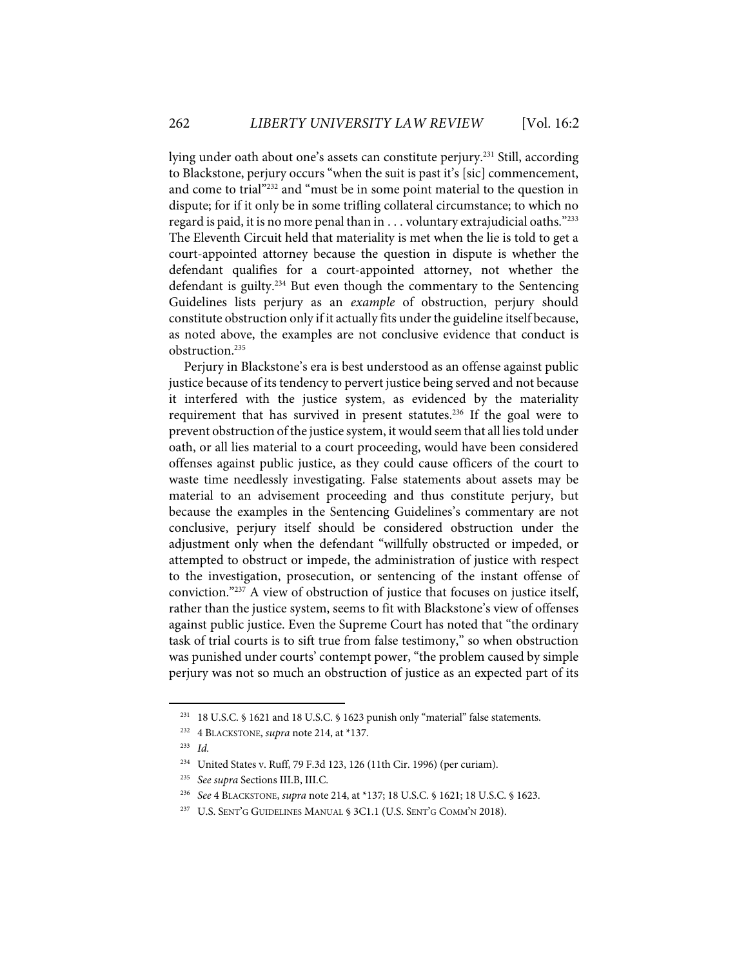lying under oath about one's assets can constitute perjury.<sup>231</sup> Still, according to Blackstone, perjury occurs "when the suit is past it's [sic] commencement, and come to trial"232 and "must be in some point material to the question in dispute; for if it only be in some trifling collateral circumstance; to which no regard is paid, it is no more penal than in  $\ldots$  voluntary extrajudicial oaths."<sup>233</sup> The Eleventh Circuit held that materiality is met when the lie is told to get a court-appointed attorney because the question in dispute is whether the defendant qualifies for a court-appointed attorney, not whether the defendant is guilty. $234$  But even though the commentary to the Sentencing Guidelines lists perjury as an *example* of obstruction, perjury should constitute obstruction only if it actually fits under the guideline itself because, as noted above, the examples are not conclusive evidence that conduct is obstruction.235

Perjury in Blackstone's era is best understood as an offense against public justice because of its tendency to pervert justice being served and not because it interfered with the justice system, as evidenced by the materiality requirement that has survived in present statutes.<sup>236</sup> If the goal were to prevent obstruction of the justice system, it would seem that all lies told under oath, or all lies material to a court proceeding, would have been considered offenses against public justice, as they could cause officers of the court to waste time needlessly investigating. False statements about assets may be material to an advisement proceeding and thus constitute perjury, but because the examples in the Sentencing Guidelines's commentary are not conclusive, perjury itself should be considered obstruction under the adjustment only when the defendant "willfully obstructed or impeded, or attempted to obstruct or impede, the administration of justice with respect to the investigation, prosecution, or sentencing of the instant offense of conviction."237 A view of obstruction of justice that focuses on justice itself, rather than the justice system, seems to fit with Blackstone's view of offenses against public justice. Even the Supreme Court has noted that "the ordinary task of trial courts is to sift true from false testimony," so when obstruction was punished under courts' contempt power, "the problem caused by simple perjury was not so much an obstruction of justice as an expected part of its

<sup>231 18</sup> U.S.C. § 1621 and 18 U.S.C. § 1623 punish only "material" false statements.

<sup>232 4</sup> BLACKSTONE, *supra* note 214, at \*137.

<sup>233</sup> *Id.*

<sup>234</sup> United States v. Ruff, 79 F.3d 123, 126 (11th Cir. 1996) (per curiam).

<sup>235</sup> *See supra* Sections III.B, III.C.

<sup>236</sup> *See* 4 BLACKSTONE, *supra* note 214, at \*137; 18 U.S.C. § 1621; 18 U.S.C. § 1623.

<sup>237</sup> U.S. SENT'G GUIDELINES MANUAL § 3C1.1 (U.S. SENT'G COMM'N 2018).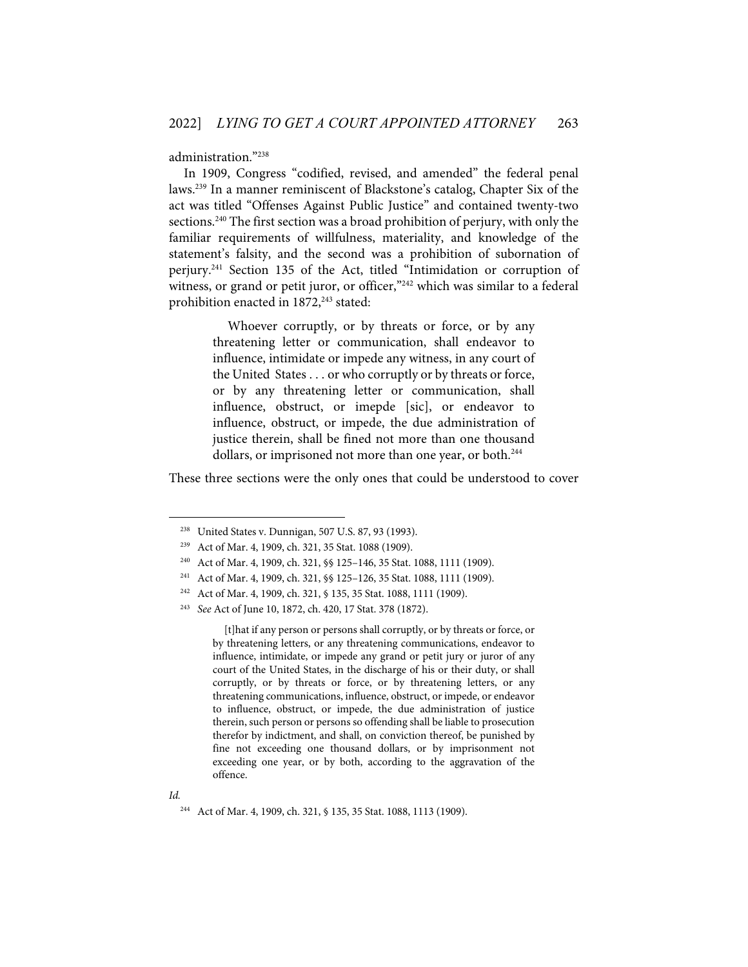administration."238

In 1909, Congress "codified, revised, and amended" the federal penal laws.239 In a manner reminiscent of Blackstone's catalog, Chapter Six of the act was titled "Offenses Against Public Justice" and contained twenty-two sections.<sup>240</sup> The first section was a broad prohibition of perjury, with only the familiar requirements of willfulness, materiality, and knowledge of the statement's falsity, and the second was a prohibition of subornation of perjury.241 Section 135 of the Act, titled "Intimidation or corruption of witness, or grand or petit juror, or officer,"<sup>242</sup> which was similar to a federal prohibition enacted in 1872, <sup>243</sup> stated:

> Whoever corruptly, or by threats or force, or by any threatening letter or communication, shall endeavor to influence, intimidate or impede any witness, in any court of the United States . . . or who corruptly or by threats or force, or by any threatening letter or communication, shall influence, obstruct, or imepde [sic], or endeavor to influence, obstruct, or impede, the due administration of justice therein, shall be fined not more than one thousand dollars, or imprisoned not more than one year, or both.<sup>244</sup>

These three sections were the only ones that could be understood to cover

[t]hat if any person or persons shall corruptly, or by threats or force, or by threatening letters, or any threatening communications, endeavor to influence, intimidate, or impede any grand or petit jury or juror of any court of the United States, in the discharge of his or their duty, or shall corruptly, or by threats or force, or by threatening letters, or any threatening communications, influence, obstruct, or impede, or endeavor to influence, obstruct, or impede, the due administration of justice therein, such person or persons so offending shall be liable to prosecution therefor by indictment, and shall, on conviction thereof, be punished by fine not exceeding one thousand dollars, or by imprisonment not exceeding one year, or by both, according to the aggravation of the offence.

<sup>238</sup> United States v. Dunnigan, 507 U.S. 87, 93 (1993).

<sup>239</sup> Act of Mar. 4, 1909, ch. 321, 35 Stat. 1088 (1909).

<sup>240</sup> Act of Mar. 4, 1909, ch. 321, §§ 125–146, 35 Stat. 1088, 1111 (1909).

<sup>241</sup> Act of Mar. 4, 1909, ch. 321, §§ 125–126, 35 Stat. 1088, 1111 (1909).

<sup>242</sup> Act of Mar. 4, 1909, ch. 321, § 135, 35 Stat. 1088, 1111 (1909).

<sup>243</sup> *See* Act of June 10, 1872, ch. 420, 17 Stat. 378 (1872).

<sup>244</sup> Act of Mar. 4, 1909, ch. 321, § 135, 35 Stat. 1088, 1113 (1909).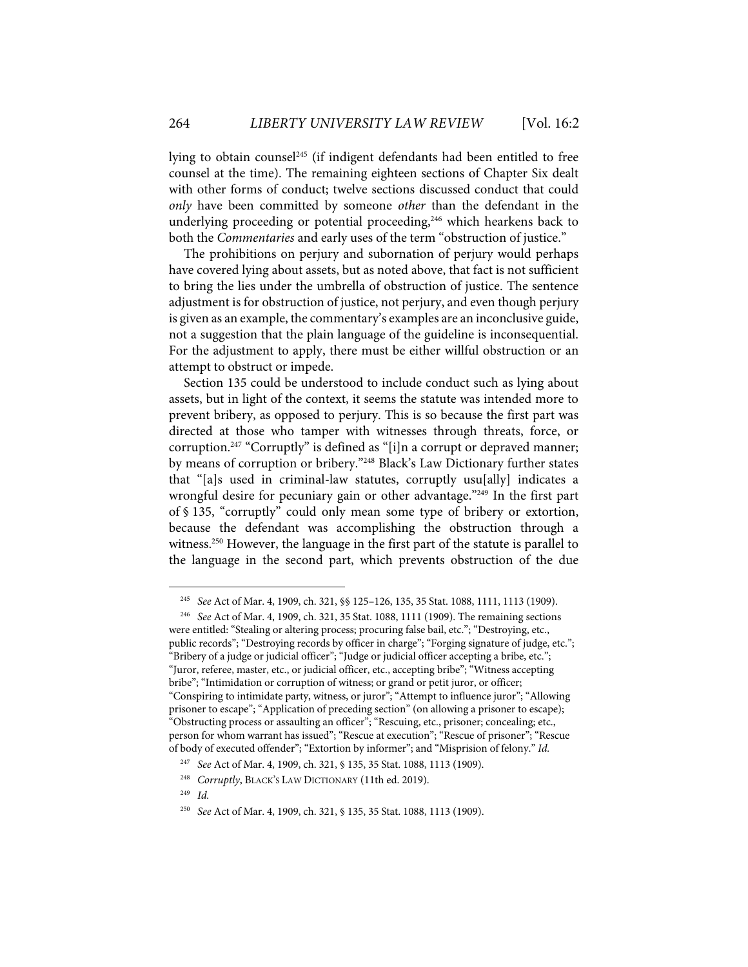lying to obtain counsel<sup>245</sup> (if indigent defendants had been entitled to free counsel at the time). The remaining eighteen sections of Chapter Six dealt with other forms of conduct; twelve sections discussed conduct that could *only* have been committed by someone *other* than the defendant in the underlying proceeding or potential proceeding,<sup>246</sup> which hearkens back to both the *Commentaries* and early uses of the term "obstruction of justice."

The prohibitions on perjury and subornation of perjury would perhaps have covered lying about assets, but as noted above, that fact is not sufficient to bring the lies under the umbrella of obstruction of justice. The sentence adjustment is for obstruction of justice, not perjury, and even though perjury is given as an example, the commentary's examples are an inconclusive guide, not a suggestion that the plain language of the guideline is inconsequential. For the adjustment to apply, there must be either willful obstruction or an attempt to obstruct or impede.

Section 135 could be understood to include conduct such as lying about assets, but in light of the context, it seems the statute was intended more to prevent bribery, as opposed to perjury. This is so because the first part was directed at those who tamper with witnesses through threats, force, or corruption.247 "Corruptly" is defined as "[i]n a corrupt or depraved manner; by means of corruption or bribery."248 Black's Law Dictionary further states that "[a]s used in criminal-law statutes, corruptly usu[ally] indicates a wrongful desire for pecuniary gain or other advantage."<sup>249</sup> In the first part of § 135, "corruptly" could only mean some type of bribery or extortion, because the defendant was accomplishing the obstruction through a witness.<sup>250</sup> However, the language in the first part of the statute is parallel to the language in the second part, which prevents obstruction of the due

<sup>245</sup> *See* Act of Mar. 4, 1909, ch. 321, §§ 125–126, 135, 35 Stat. 1088, 1111, 1113 (1909).

<sup>246</sup> *See* Act of Mar. 4, 1909, ch. 321, 35 Stat. 1088, 1111 (1909). The remaining sections were entitled: "Stealing or altering process; procuring false bail, etc."; "Destroying, etc., public records"; "Destroying records by officer in charge"; "Forging signature of judge, etc."; "Bribery of a judge or judicial officer"; "Judge or judicial officer accepting a bribe, etc."; "Juror, referee, master, etc., or judicial officer, etc., accepting bribe"; "Witness accepting bribe"; "Intimidation or corruption of witness; or grand or petit juror, or officer; "Conspiring to intimidate party, witness, or juror"; "Attempt to influence juror"; "Allowing prisoner to escape"; "Application of preceding section" (on allowing a prisoner to escape); "Obstructing process or assaulting an officer"; "Rescuing, etc., prisoner; concealing; etc., person for whom warrant has issued"; "Rescue at execution"; "Rescue of prisoner"; "Rescue of body of executed offender"; "Extortion by informer"; and "Misprision of felony." *Id.*

<sup>247</sup> *See* Act of Mar. 4, 1909, ch. 321, § 135, 35 Stat. 1088, 1113 (1909).

<sup>248</sup> *Corruptly*, BLACK'S LAW DICTIONARY (11th ed. 2019).

<sup>249</sup> *Id.* 

<sup>250</sup> *See* Act of Mar. 4, 1909, ch. 321, § 135, 35 Stat. 1088, 1113 (1909).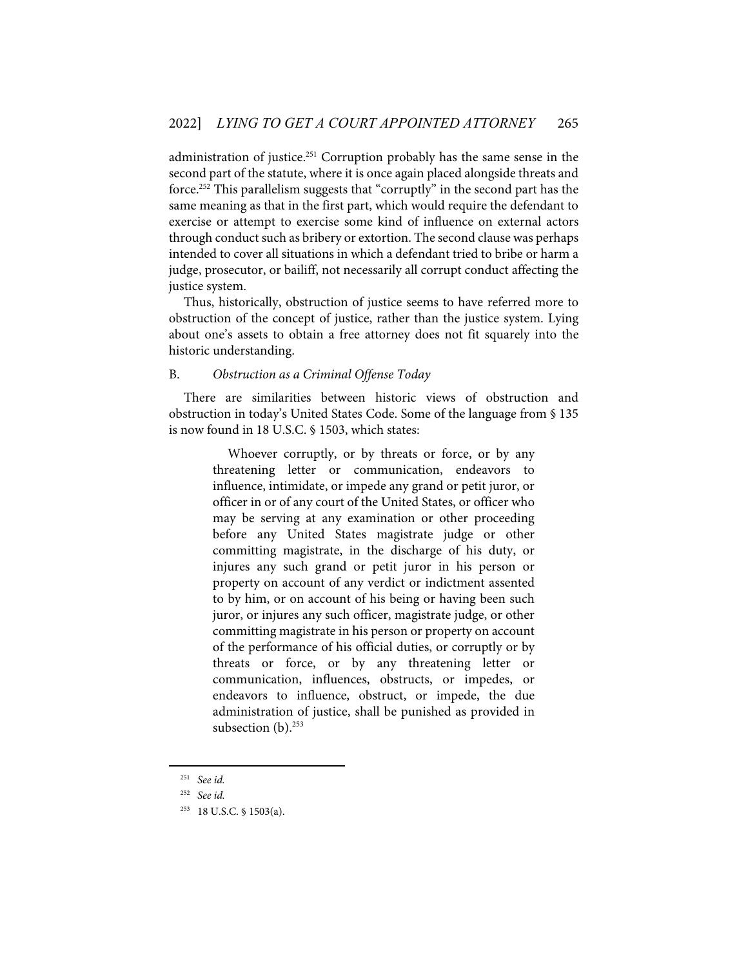administration of justice.<sup>251</sup> Corruption probably has the same sense in the second part of the statute, where it is once again placed alongside threats and force.252 This parallelism suggests that "corruptly" in the second part has the same meaning as that in the first part, which would require the defendant to exercise or attempt to exercise some kind of influence on external actors through conduct such as bribery or extortion. The second clause was perhaps intended to cover all situations in which a defendant tried to bribe or harm a judge, prosecutor, or bailiff, not necessarily all corrupt conduct affecting the justice system.

Thus, historically, obstruction of justice seems to have referred more to obstruction of the concept of justice, rather than the justice system. Lying about one's assets to obtain a free attorney does not fit squarely into the historic understanding.

#### B. *Obstruction as a Criminal Offense Today*

There are similarities between historic views of obstruction and obstruction in today's United States Code. Some of the language from § 135 is now found in 18 U.S.C. § 1503, which states:

> Whoever corruptly, or by threats or force, or by any threatening letter or communication, endeavors to influence, intimidate, or impede any grand or petit juror, or officer in or of any court of the United States, or officer who may be serving at any examination or other proceeding before any United States magistrate judge or other committing magistrate, in the discharge of his duty, or injures any such grand or petit juror in his person or property on account of any verdict or indictment assented to by him, or on account of his being or having been such juror, or injures any such officer, magistrate judge, or other committing magistrate in his person or property on account of the performance of his official duties, or corruptly or by threats or force, or by any threatening letter or communication, influences, obstructs, or impedes, or endeavors to influence, obstruct, or impede, the due administration of justice, shall be punished as provided in subsection  $(b)$ .<sup>253</sup>

<sup>251</sup> *See id.*

<sup>252</sup> *See id.* 

<sup>253 18</sup> U.S.C. § 1503(a).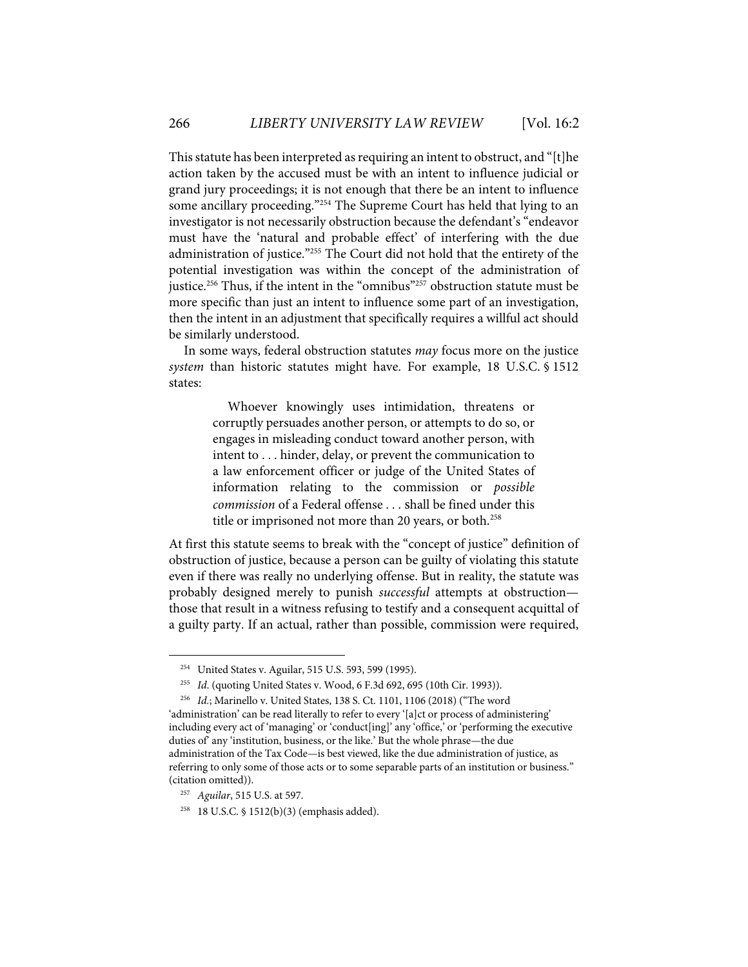This statute has been interpreted as requiring an intent to obstruct, and "[t]he action taken by the accused must be with an intent to influence judicial or grand jury proceedings; it is not enough that there be an intent to influence some ancillary proceeding."254 The Supreme Court has held that lying to an investigator is not necessarily obstruction because the defendant's "endeavor must have the 'natural and probable effect' of interfering with the due administration of justice."255 The Court did not hold that the entirety of the potential investigation was within the concept of the administration of justice. <sup>256</sup> Thus, if the intent in the "omnibus"257 obstruction statute must be more specific than just an intent to influence some part of an investigation, then the intent in an adjustment that specifically requires a willful act should be similarly understood.

In some ways, federal obstruction statutes *may* focus more on the justice *system* than historic statutes might have. For example, 18 U.S.C. § 1512 states:

> Whoever knowingly uses intimidation, threatens or corruptly persuades another person, or attempts to do so, or engages in misleading conduct toward another person, with intent to . . . hinder, delay, or prevent the communication to a law enforcement officer or judge of the United States of information relating to the commission or *possible commission* of a Federal offense . . . shall be fined under this title or imprisoned not more than 20 years, or both.<sup>258</sup>

At first this statute seems to break with the "concept of justice" definition of obstruction of justice, because a person can be guilty of violating this statute even if there was really no underlying offense. But in reality, the statute was probably designed merely to punish *successful* attempts at obstruction those that result in a witness refusing to testify and a consequent acquittal of a guilty party. If an actual, rather than possible, commission were required,

<sup>254</sup> United States v. Aguilar, 515 U.S. 593, 599 (1995).

<sup>255</sup> *Id*. (quoting United States v. Wood, 6 F.3d 692, 695 (10th Cir. 1993)).

<sup>256</sup> *Id.*; Marinello v. United States, 138 S. Ct. 1101, 1106 (2018) ("The word

<sup>&#</sup>x27;administration' can be read literally to refer to every '[a]ct or process of administering' including every act of 'managing' or 'conduct[ing]' any 'office,' or 'performing the executive duties of' any 'institution, business, or the like.' But the whole phrase—the due administration of the Tax Code—is best viewed, like the due administration of justice, as referring to only some of those acts or to some separable parts of an institution or business." (citation omitted)).

<sup>257</sup> *Aguilar*, 515 U.S. at 597.

<sup>258 18</sup> U.S.C. § 1512(b)(3) (emphasis added).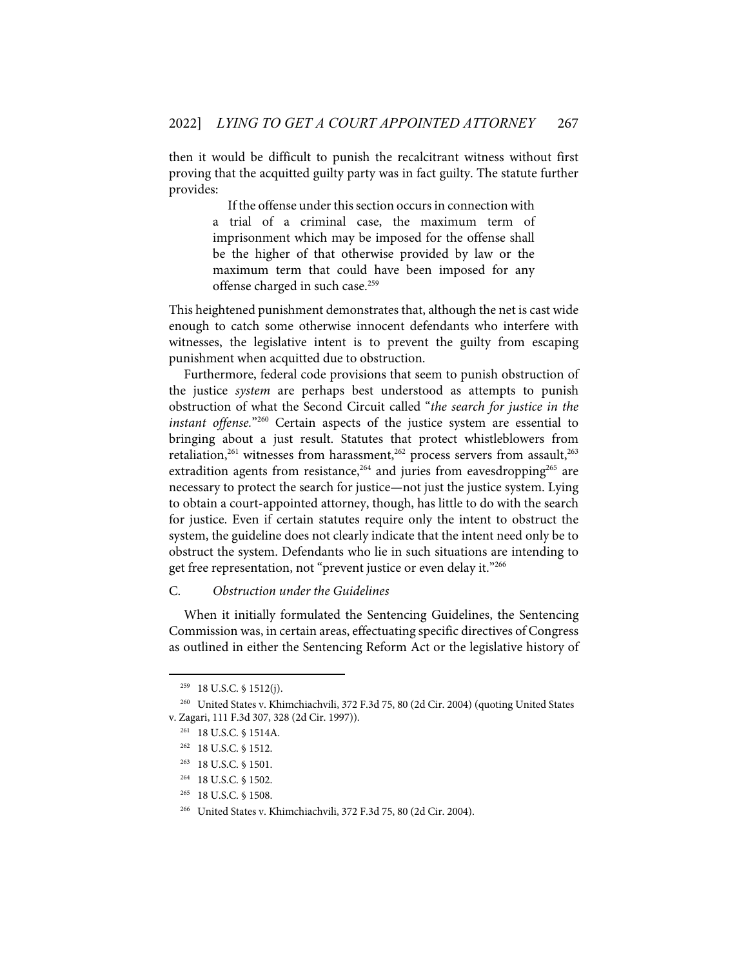then it would be difficult to punish the recalcitrant witness without first proving that the acquitted guilty party was in fact guilty. The statute further provides:

> If the offense under this section occurs in connection with a trial of a criminal case, the maximum term of imprisonment which may be imposed for the offense shall be the higher of that otherwise provided by law or the maximum term that could have been imposed for any offense charged in such case.<sup>259</sup>

This heightened punishment demonstrates that, although the net is cast wide enough to catch some otherwise innocent defendants who interfere with witnesses, the legislative intent is to prevent the guilty from escaping punishment when acquitted due to obstruction.

Furthermore, federal code provisions that seem to punish obstruction of the justice *system* are perhaps best understood as attempts to punish obstruction of what the Second Circuit called "*the search for justice in the instant offense.*"260 Certain aspects of the justice system are essential to bringing about a just result. Statutes that protect whistleblowers from retaliation,<sup>261</sup> witnesses from harassment,<sup>262</sup> process servers from assault,<sup>263</sup> extradition agents from resistance,<sup>264</sup> and juries from eavesdropping<sup>265</sup> are necessary to protect the search for justice—not just the justice system. Lying to obtain a court-appointed attorney, though, has little to do with the search for justice. Even if certain statutes require only the intent to obstruct the system, the guideline does not clearly indicate that the intent need only be to obstruct the system. Defendants who lie in such situations are intending to get free representation, not "prevent justice or even delay it."266

# C. *Obstruction under the Guidelines*

When it initially formulated the Sentencing Guidelines, the Sentencing Commission was, in certain areas, effectuating specific directives of Congress as outlined in either the Sentencing Reform Act or the legislative history of

 $259$  18 U.S.C. § 1512(j).

<sup>260</sup> United States v. Khimchiachvili, 372 F.3d 75, 80 (2d Cir. 2004) (quoting United States v. Zagari, 111 F.3d 307, 328 (2d Cir. 1997)).

<sup>261 18</sup> U.S.C. § 1514A.

<sup>262 18</sup> U.S.C. § 1512.

<sup>263 18</sup> U.S.C. § 1501.

<sup>264 18</sup> U.S.C. § 1502.

<sup>265 18</sup> U.S.C. § 1508.

<sup>266</sup> United States v. Khimchiachvili, 372 F.3d 75, 80 (2d Cir. 2004).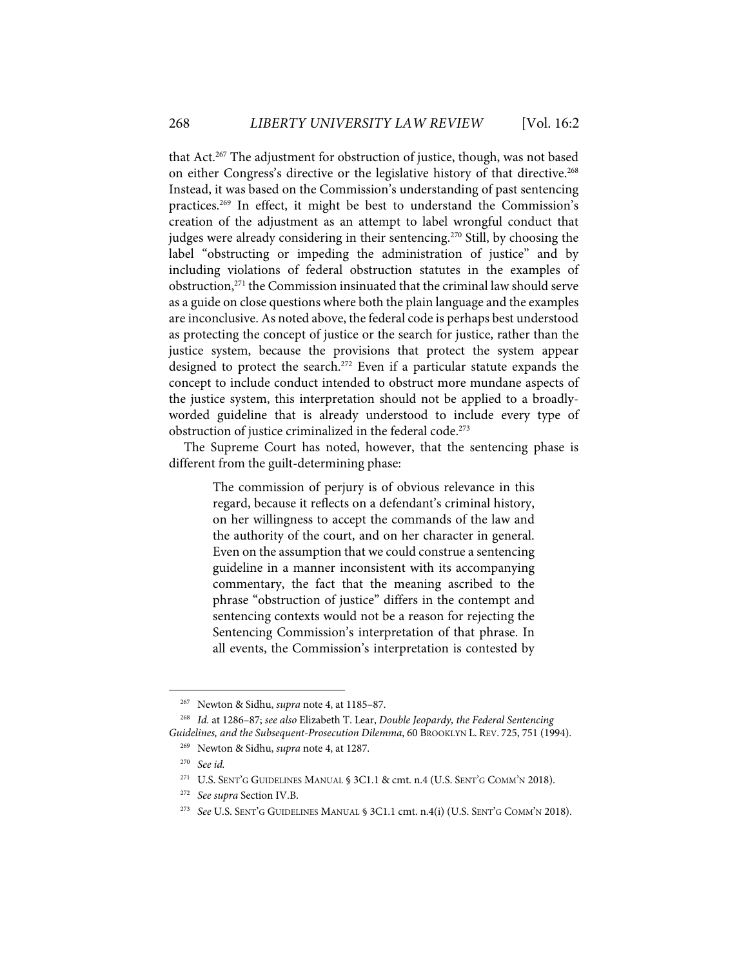that Act.<sup>267</sup> The adjustment for obstruction of justice, though, was not based on either Congress's directive or the legislative history of that directive.<sup>268</sup> Instead, it was based on the Commission's understanding of past sentencing practices.269 In effect, it might be best to understand the Commission's creation of the adjustment as an attempt to label wrongful conduct that judges were already considering in their sentencing.<sup>270</sup> Still, by choosing the label "obstructing or impeding the administration of justice" and by including violations of federal obstruction statutes in the examples of obstruction,<sup>271</sup> the Commission insinuated that the criminal law should serve as a guide on close questions where both the plain language and the examples are inconclusive. As noted above, the federal code is perhaps best understood as protecting the concept of justice or the search for justice, rather than the justice system, because the provisions that protect the system appear designed to protect the search.<sup>272</sup> Even if a particular statute expands the concept to include conduct intended to obstruct more mundane aspects of the justice system, this interpretation should not be applied to a broadlyworded guideline that is already understood to include every type of obstruction of justice criminalized in the federal code.<sup>273</sup>

The Supreme Court has noted, however, that the sentencing phase is different from the guilt-determining phase:

> The commission of perjury is of obvious relevance in this regard, because it reflects on a defendant's criminal history, on her willingness to accept the commands of the law and the authority of the court, and on her character in general. Even on the assumption that we could construe a sentencing guideline in a manner inconsistent with its accompanying commentary, the fact that the meaning ascribed to the phrase "obstruction of justice" differs in the contempt and sentencing contexts would not be a reason for rejecting the Sentencing Commission's interpretation of that phrase. In all events, the Commission's interpretation is contested by

<sup>267</sup> Newton & Sidhu, *supra* note 4, at 1185–87.

<sup>268</sup> *Id.* at 1286–87; *see also* Elizabeth T. Lear, *Double Jeopardy, the Federal Sentencing Guidelines, and the Subsequent-Prosecution Dilemma*, 60 BROOKLYN L. REV. 725, 751 (1994).

<sup>269</sup> Newton & Sidhu, *supra* note 4, at 1287.

<sup>270</sup> *See id.* 

<sup>&</sup>lt;sup>271</sup> U.S. SENT'G GUIDELINES MANUAL § 3C1.1 & cmt. n.4 (U.S. SENT'G COMM'N 2018).

<sup>272</sup> *See supra* Section IV.B.

<sup>273</sup> *See* U.S. SENT'G GUIDELINES MANUAL § 3C1.1 cmt. n.4(i) (U.S. SENT'G COMM'N 2018).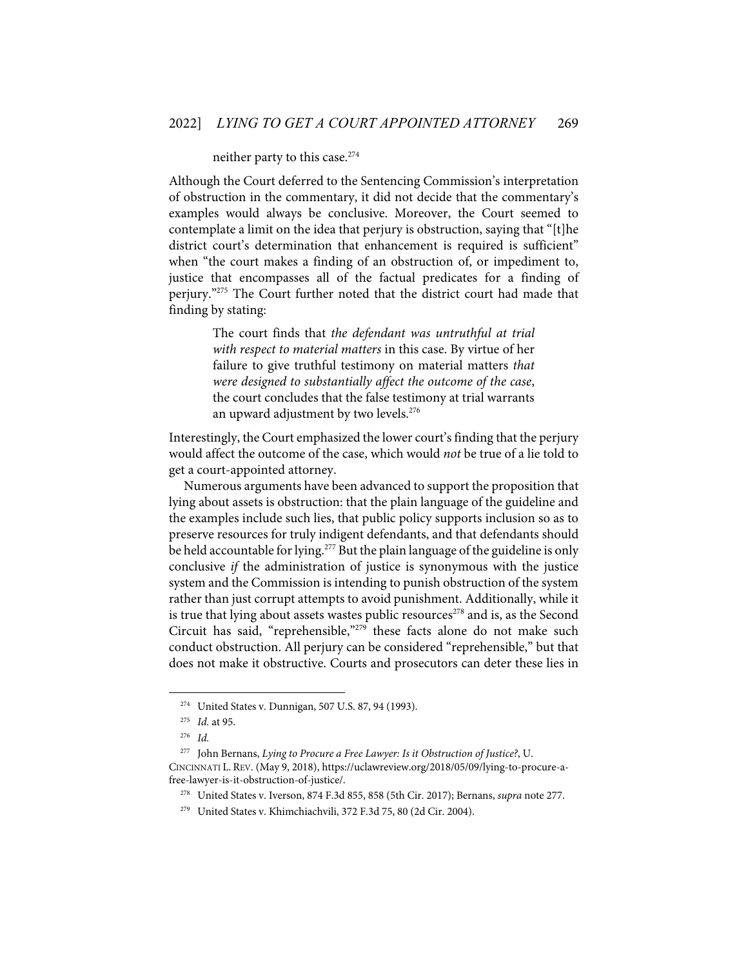# neither party to this case.<sup>274</sup>

Although the Court deferred to the Sentencing Commission's interpretation of obstruction in the commentary, it did not decide that the commentary's examples would always be conclusive. Moreover, the Court seemed to contemplate a limit on the idea that perjury is obstruction, saying that "[t]he district court's determination that enhancement is required is sufficient" when "the court makes a finding of an obstruction of, or impediment to, justice that encompasses all of the factual predicates for a finding of perjury."275 The Court further noted that the district court had made that finding by stating:

> The court finds that *the defendant was untruthful at trial with respect to material matters* in this case. By virtue of her failure to give truthful testimony on material matters *that were designed to substantially affect the outcome of the case*, the court concludes that the false testimony at trial warrants an upward adjustment by two levels. 276

Interestingly, the Court emphasized the lower court's finding that the perjury would affect the outcome of the case, which would *not* be true of a lie told to get a court-appointed attorney.

Numerous arguments have been advanced to support the proposition that lying about assets is obstruction: that the plain language of the guideline and the examples include such lies, that public policy supports inclusion so as to preserve resources for truly indigent defendants, and that defendants should be held accountable for lying.<sup>277</sup> But the plain language of the guideline is only conclusive *if* the administration of justice is synonymous with the justice system and the Commission is intending to punish obstruction of the system rather than just corrupt attempts to avoid punishment. Additionally, while it is true that lying about assets wastes public resources<sup>278</sup> and is, as the Second Circuit has said, "reprehensible,"279 these facts alone do not make such conduct obstruction. All perjury can be considered "reprehensible," but that does not make it obstructive. Courts and prosecutors can deter these lies in

<sup>274</sup> United States v. Dunnigan, 507 U.S. 87, 94 (1993).

<sup>275</sup> *Id.* at 95.

<sup>276</sup> *Id.* 

<sup>277</sup> John Bernans, *Lying to Procure a Free Lawyer: Is it Obstruction of Justice?*, U. CINCINNATI L. REV. (May 9, 2018), https://uclawreview.org/2018/05/09/lying-to-procure-afree-lawyer-is-it-obstruction-of-justice/.

<sup>278</sup> United States v. Iverson, 874 F.3d 855, 858 (5th Cir. 2017); Bernans, *supra* note 277.

<sup>279</sup> United States v. Khimchiachvili, 372 F.3d 75, 80 (2d Cir. 2004).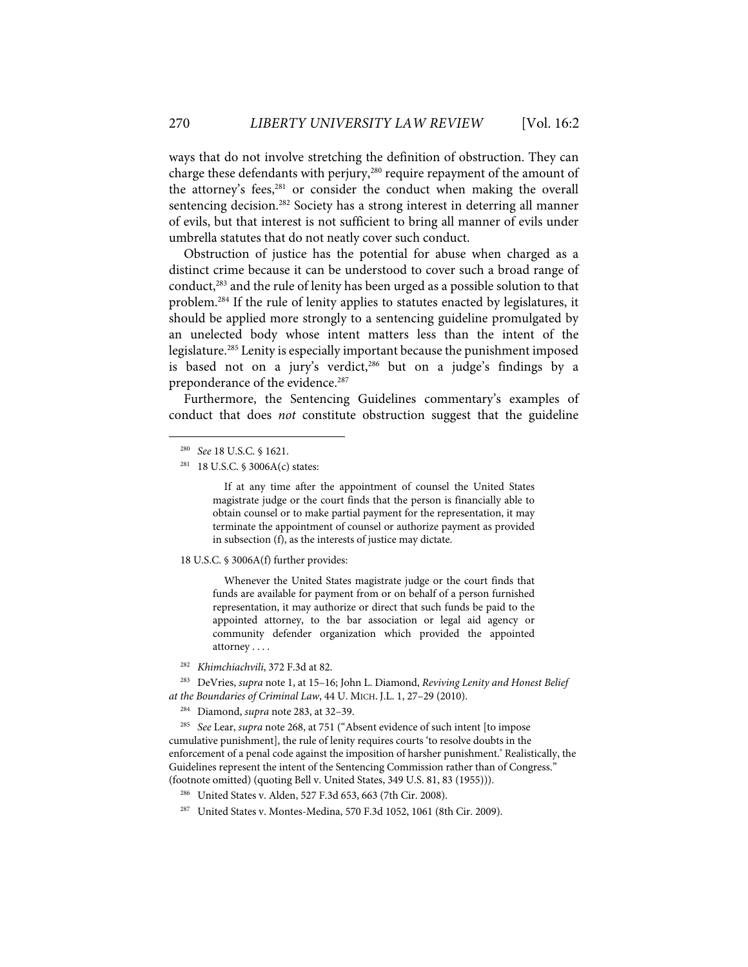ways that do not involve stretching the definition of obstruction. They can charge these defendants with perjury,<sup>280</sup> require repayment of the amount of the attorney's fees,<sup>281</sup> or consider the conduct when making the overall sentencing decision.<sup>282</sup> Society has a strong interest in deterring all manner of evils, but that interest is not sufficient to bring all manner of evils under umbrella statutes that do not neatly cover such conduct.

Obstruction of justice has the potential for abuse when charged as a distinct crime because it can be understood to cover such a broad range of conduct,283 and the rule of lenity has been urged as a possible solution to that problem.<sup>284</sup> If the rule of lenity applies to statutes enacted by legislatures, it should be applied more strongly to a sentencing guideline promulgated by an unelected body whose intent matters less than the intent of the legislature.285 Lenity is especially important because the punishment imposed is based not on a jury's verdict,<sup>286</sup> but on a judge's findings by a preponderance of the evidence. 287

Furthermore, the Sentencing Guidelines commentary's examples of conduct that does *not* constitute obstruction suggest that the guideline

If at any time after the appointment of counsel the United States magistrate judge or the court finds that the person is financially able to obtain counsel or to make partial payment for the representation, it may terminate the appointment of counsel or authorize payment as provided in subsection (f), as the interests of justice may dictate.

18 U.S.C. § 3006A(f) further provides:

Whenever the United States magistrate judge or the court finds that funds are available for payment from or on behalf of a person furnished representation, it may authorize or direct that such funds be paid to the appointed attorney, to the bar association or legal aid agency or community defender organization which provided the appointed attorney . . . .

282 *Khimchiachvili*, 372 F.3d at 82.

283 DeVries, *supra* note 1, at 15–16; John L. Diamond, *Reviving Lenity and Honest Belief at the Boundaries of Criminal Law*, 44 U. MICH. J.L. 1, 27–29 (2010).

284 Diamond, *supra* note 283, at 32–39.

285 *See* Lear, *supra* note 268, at 751 ("Absent evidence of such intent [to impose cumulative punishment], the rule of lenity requires courts 'to resolve doubts in the enforcement of a penal code against the imposition of harsher punishment.' Realistically, the Guidelines represent the intent of the Sentencing Commission rather than of Congress." (footnote omitted) (quoting Bell v. United States, 349 U.S. 81, 83 (1955))).

- 286 United States v. Alden, 527 F.3d 653, 663 (7th Cir. 2008).
- 287 United States v. Montes-Medina, 570 F.3d 1052, 1061 (8th Cir. 2009).

<sup>280</sup> *See* 18 U.S.C. § 1621.

<sup>281 18</sup> U.S.C. § 3006A(c) states: